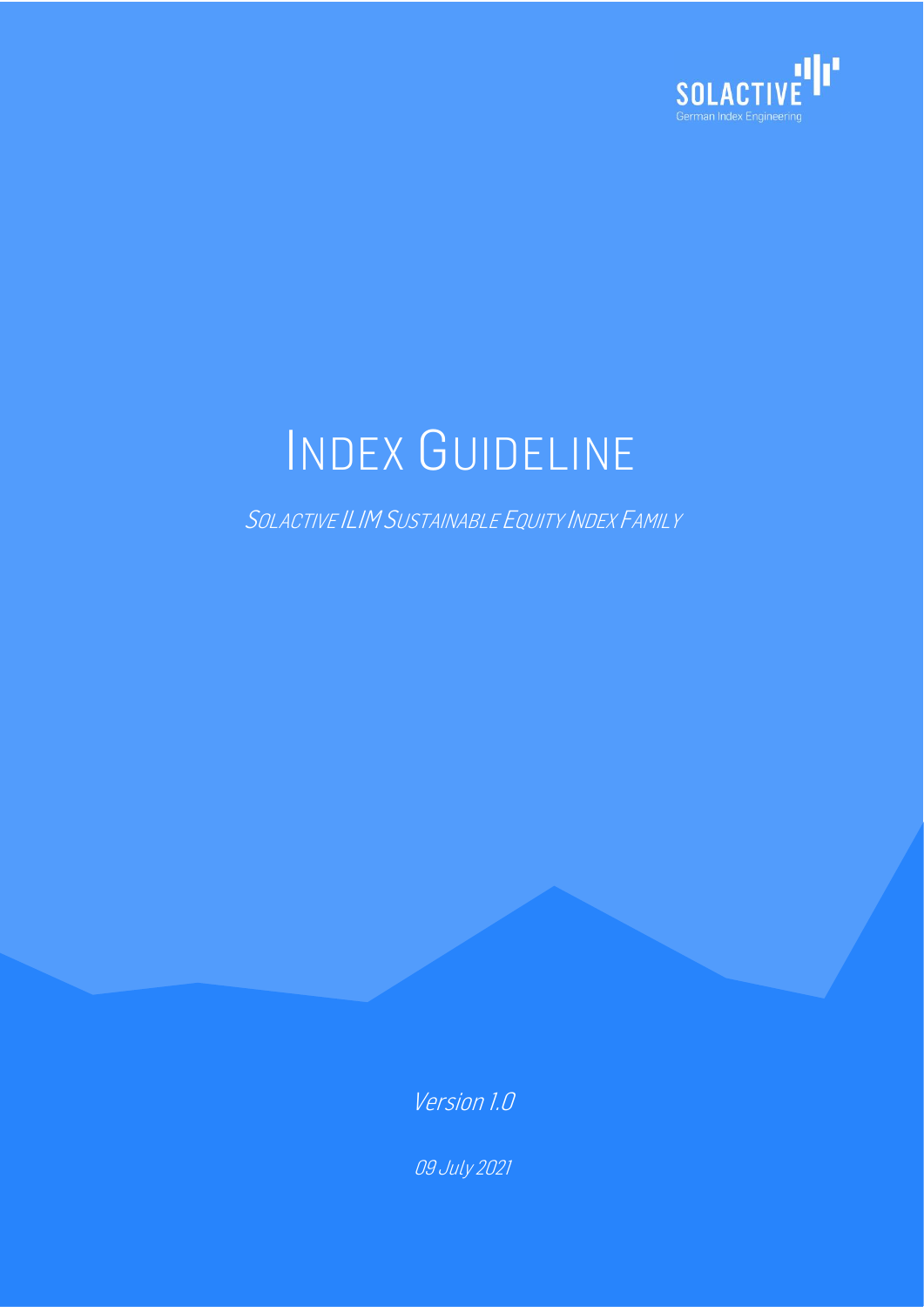

# INDEX GUIDELINE

SOLACTIVE ILIMSUSTAINABLE EQUITY INDEX FAMILY

Version 1.0

09 July 2021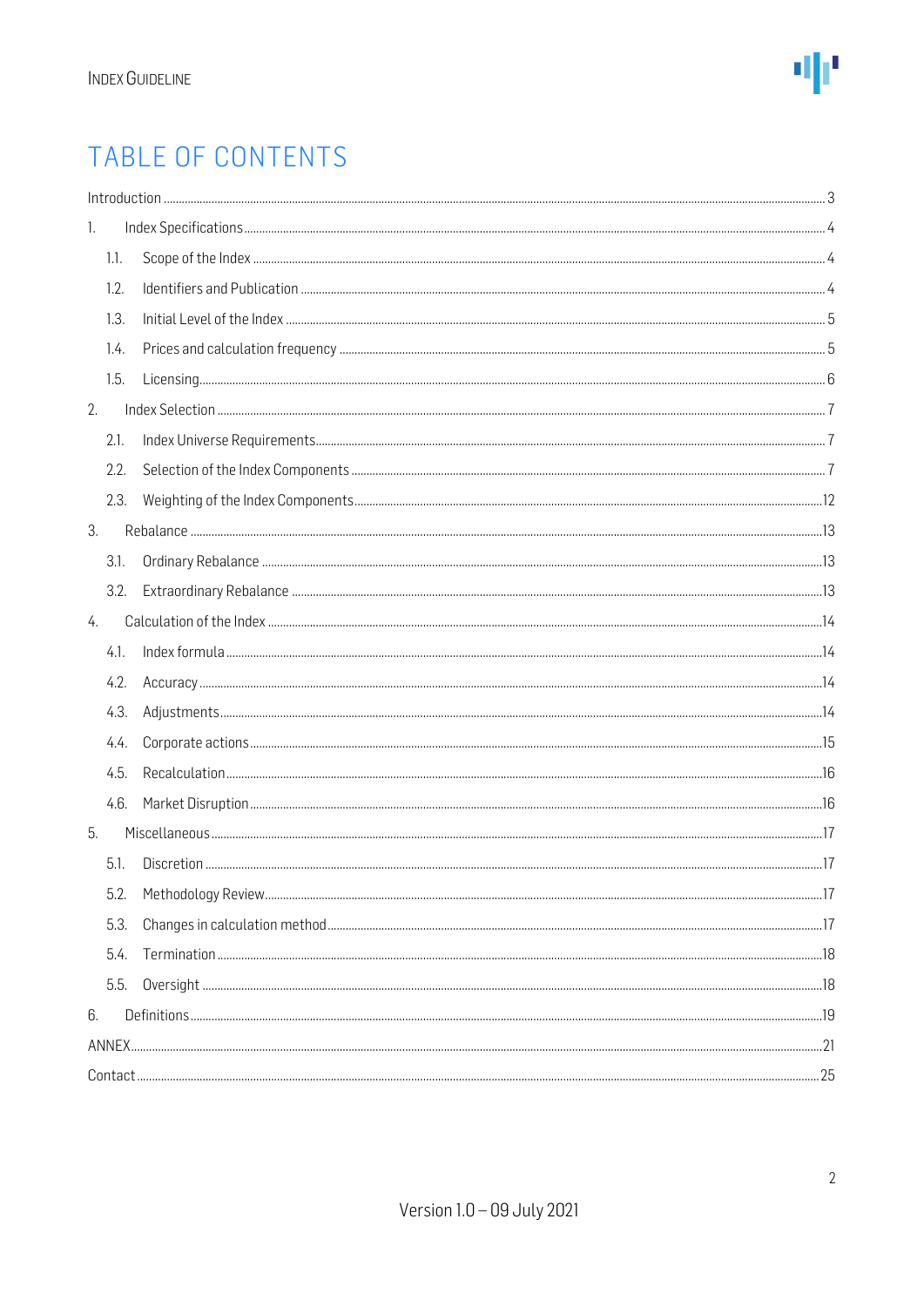### TABLE OF CONTENTS

|                  | Introduction 33 |  |  |  |
|------------------|-----------------|--|--|--|
| 1.               |                 |  |  |  |
|                  | 1.1.            |  |  |  |
|                  | 1.2.            |  |  |  |
|                  | 1.3.            |  |  |  |
|                  | 1.4.            |  |  |  |
|                  | 1.5.            |  |  |  |
| 2.               |                 |  |  |  |
|                  | 2.1.            |  |  |  |
|                  | 2.2.            |  |  |  |
|                  | 2.3.            |  |  |  |
| 3.               |                 |  |  |  |
|                  | 3.1.            |  |  |  |
|                  | 3.2.            |  |  |  |
| $\overline{4}$ . |                 |  |  |  |
|                  | 4.1.            |  |  |  |
|                  | 4.2.            |  |  |  |
|                  | 4.3.            |  |  |  |
|                  | 4.4.            |  |  |  |
|                  | 4.5.            |  |  |  |
|                  | 4.6.            |  |  |  |
| 5.               |                 |  |  |  |
|                  | 5.1.            |  |  |  |
|                  | 5.2.            |  |  |  |
|                  | 5.3.            |  |  |  |
|                  | 5.4.            |  |  |  |
|                  | 5.5.            |  |  |  |
| 6.               |                 |  |  |  |
|                  |                 |  |  |  |
|                  |                 |  |  |  |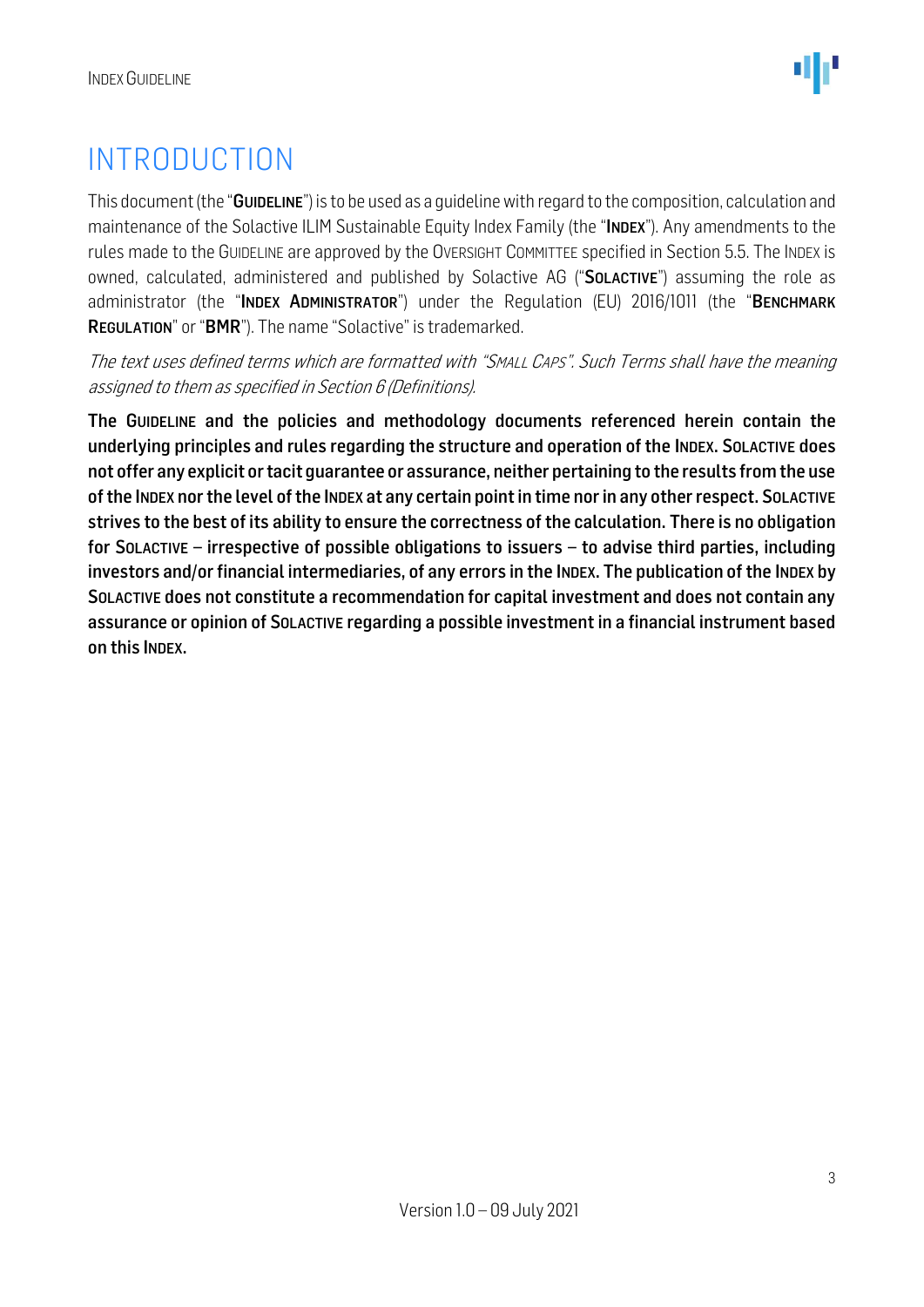### <span id="page-2-0"></span>INTRODUCTION

This document (the "GUIDELINE") is to be used as a quideline with regard to the composition, calculation and maintenance of the Solactive ILIM Sustainable Equity Index Family (the "INDEX"). Any amendments to the rules made to the GUIDELINE are approved by the OVERSIGHT COMMITTEE specified in Section 5.5. The INDEX is owned, calculated, administered and published by Solactive AG ("SOLACTIVE") assuming the role as administrator (the "INDEX ADMINISTRATOR") under the Regulation (EU) 2016/1011 (the "BENCHMARK REGULATION" or "BMR"). The name "Solactive" is trademarked.

The text uses defined terms which are formatted with "SMALL CAPS". Such Terms shall have the meaning assigned to them as specified in Section 6 (Definitions).

The GUIDELINE and the policies and methodology documents referenced herein contain the underlying principles and rules regarding the structure and operation of the INDEX. SOLACTIVE does not offer any explicit or tacit guarantee or assurance, neither pertaining to the results from the use of the INDEX nor the level of the INDEX at any certain point in time nor in any other respect. SOLACTIVE strives to the best of its ability to ensure the correctness of the calculation. There is no obligation for SOLACTIVE – irrespective of possible obligations to issuers – to advise third parties, including investors and/or financial intermediaries, of any errors in the INDEX. The publication of the INDEX by SOLACTIVE does not constitute a recommendation for capital investment and does not contain any assurance or opinion of SOLACTIVE regarding a possible investment in a financial instrument based on this INDEX.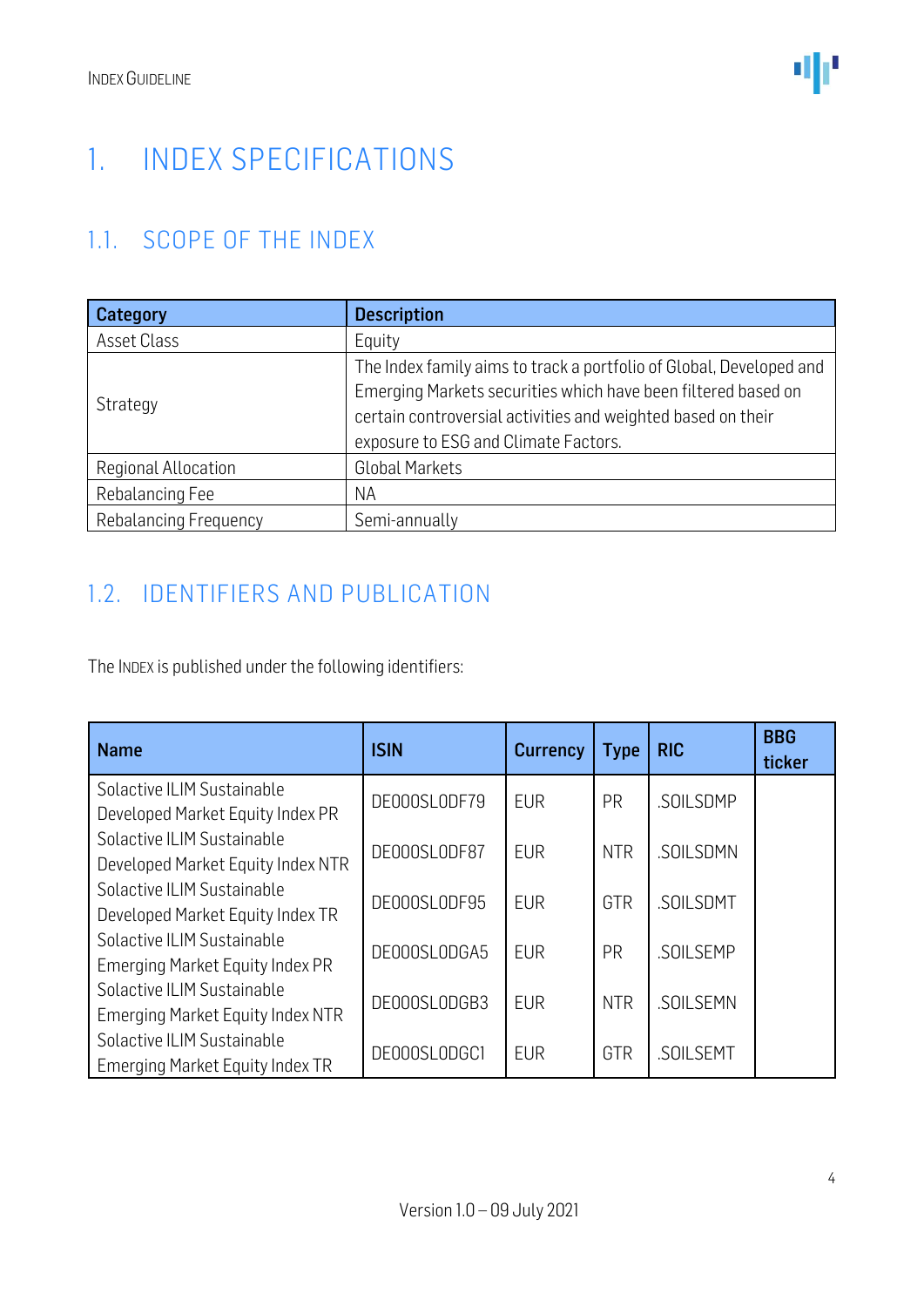## <span id="page-3-0"></span>1. INDEX SPECIFICATIONS

### <span id="page-3-1"></span>1.1. SCOPE OF THE INDEX

| Category              | <b>Description</b>                                                                                                                                                                                                                           |
|-----------------------|----------------------------------------------------------------------------------------------------------------------------------------------------------------------------------------------------------------------------------------------|
| Asset Class           | Equity                                                                                                                                                                                                                                       |
| Strategy              | The Index family aims to track a portfolio of Global, Developed and<br>Emerging Markets securities which have been filtered based on<br>certain controversial activities and weighted based on their<br>exposure to ESG and Climate Factors. |
| Regional Allocation   | <b>Global Markets</b>                                                                                                                                                                                                                        |
| Rebalancing Fee       | ΝA                                                                                                                                                                                                                                           |
| Rebalancing Frequency | Semi-annually                                                                                                                                                                                                                                |

#### <span id="page-3-2"></span>1.2. IDENTIFIERS AND PUBLICATION

The INDEX is published under the following identifiers:

| <b>Name</b>                                                           | <b>ISIN</b>  | <b>Currency</b> | <b>Type</b> | <b>RIC</b>      | <b>BBG</b><br>ticker |
|-----------------------------------------------------------------------|--------------|-----------------|-------------|-----------------|----------------------|
| Solactive ILIM Sustainable<br>Developed Market Equity Index PR        | DE000SL0DF79 | <b>EUR</b>      | PR          | .SOILSDMP       |                      |
| Solactive ILIM Sustainable<br>Developed Market Equity Index NTR       | DE000SL0DF87 | <b>EUR</b>      | <b>NTR</b>  | .SOILSDMN       |                      |
| Solactive ILIM Sustainable<br>Developed Market Equity Index TR        | DE000SL0DF95 | <b>EUR</b>      | GTR         | .SOILSDMT       |                      |
| Solactive ILIM Sustainable<br><b>Emerging Market Equity Index PR</b>  | DE000SL0DGA5 | <b>EUR</b>      | PR          | <b>SOILSEMP</b> |                      |
| Solactive ILIM Sustainable<br><b>Emerging Market Equity Index NTR</b> | DE000SL0DGB3 | <b>EUR</b>      | <b>NTR</b>  | .SOILSEMN       |                      |
| Solactive ILIM Sustainable<br><b>Emerging Market Equity Index TR</b>  | DE000SL0DGC1 | <b>EUR</b>      | GTR         | .SOILSEMT       |                      |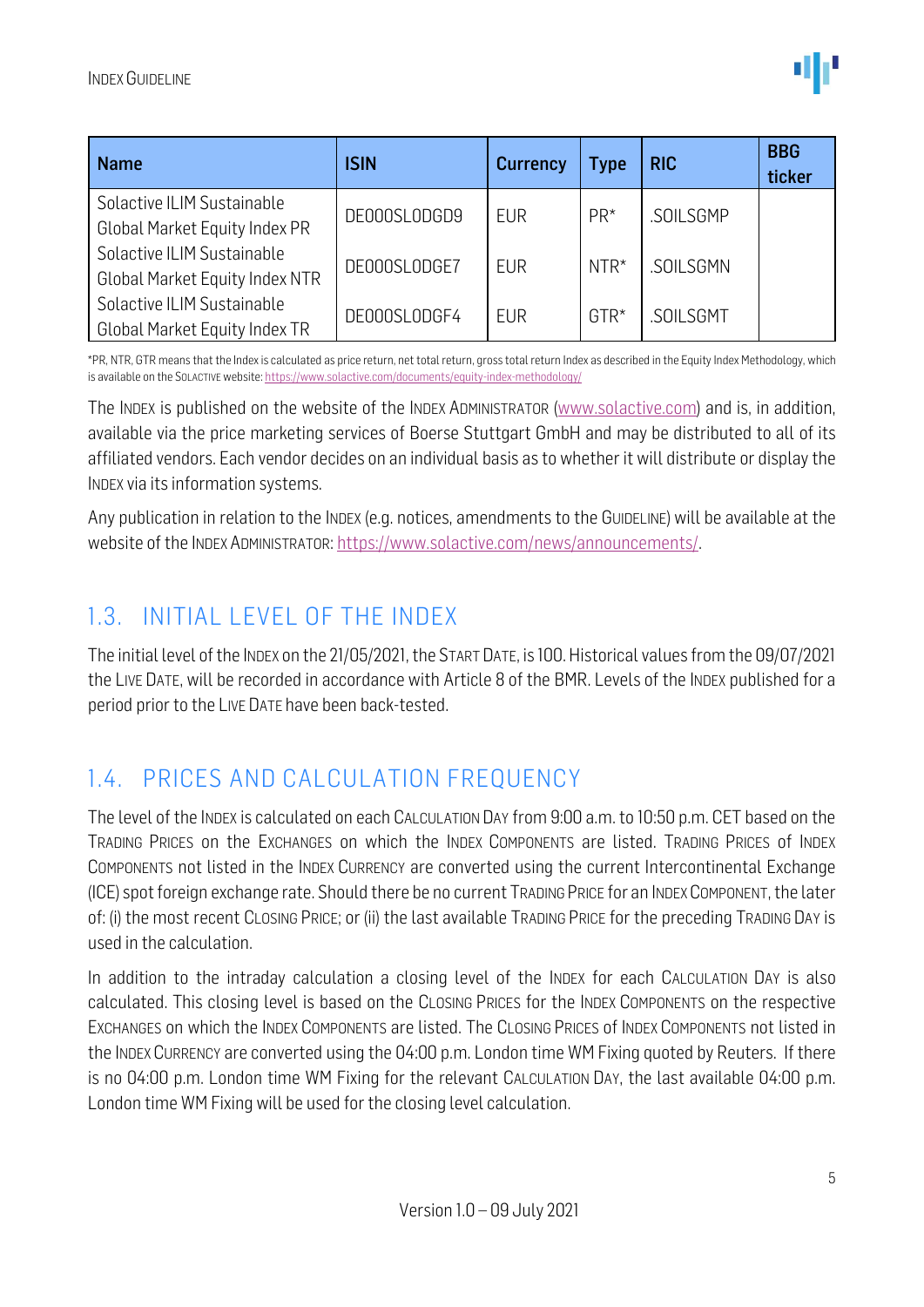| <b>Name</b>                                                         | <b>ISIN</b>  | <b>Currency</b> | Type   | <b>RIC</b> | <b>BBG</b><br>ticker |
|---------------------------------------------------------------------|--------------|-----------------|--------|------------|----------------------|
| Solactive ILIM Sustainable<br><b>Global Market Equity Index PR</b>  | DE000SL0DGD9 | <b>EUR</b>      | $PR^*$ | .SOILSGMP  |                      |
| Solactive ILIM Sustainable<br><b>Global Market Equity Index NTR</b> | DE000SL0DGE7 | <b>EUR</b>      | $NTR*$ | .SOILSGMN  |                      |
| Solactive ILIM Sustainable<br><b>Global Market Equity Index TR</b>  | DE000SL0DGF4 | <b>EUR</b>      | $GTR*$ | .SOILSGMT  |                      |

\*PR, NTR, GTR means that the Index is calculated as price return, net total return, gross total return Index as described in the Equity Index Methodology, which is available on the SOLACTIVE website[: https://www.solactive.com/documents/equity-index-methodology/](https://www.solactive.com/documents/equity-index-methodology/)

The INDEX is published on the website of the INDEX ADMINISTRATOR [\(www.solactive.com\)](http://www.solactive.com/) and is, in addition, available via the price marketing services of Boerse Stuttgart GmbH and may be distributed to all of its affiliated vendors. Each vendor decides on an individual basis as to whether it will distribute or display the INDEX via its information systems.

Any publication in relation to the INDEX (e.g. notices, amendments to the GUIDELINE) will be available at the website of the INDEX ADMINISTRATOR: [https://www.solactive.com/news/announcements/.](https://www.solactive.com/news/announcements/)

#### <span id="page-4-0"></span>1.3. INITIAL LEVEL OF THE INDEX

The initial level of the INDEX on the 21/05/2021, the START DATE, is 100. Historical values from the 09/07/2021 the LIVE DATE, will be recorded in accordance with Article 8 of the BMR. Levels of the INDEX published for a period prior to the LIVE DATE have been back-tested.

#### <span id="page-4-1"></span>1.4. PRICES AND CALCULATION FREQUENCY

The level of the INDEX is calculated on each CALCULATION DAY from 9:00 a.m. to 10:50 p.m. CET based on the TRADING PRICES on the EXCHANGES on which the INDEX COMPONENTS are listed. TRADING PRICES of INDEX COMPONENTS not listed in the INDEX CURRENCY are converted using the current Intercontinental Exchange (ICE) spot foreign exchange rate. Should there be no current TRADING PRICE for an INDEXCOMPONENT, the later of: (i) the most recent CLOSING PRICE; or (ii) the last available TRADING PRICE for the preceding TRADING DAY is used in the calculation.

In addition to the intraday calculation a closing level of the INDEX for each CALCULATION DAY is also calculated. This closing level is based on the CLOSING PRICES for the INDEX COMPONENTS on the respective EXCHANGES on which the INDEX COMPONENTS are listed. The CLOSING PRICES of INDEX COMPONENTS not listed in the INDEX CURRENCY are converted using the 04:00 p.m. London time WM Fixing quoted by Reuters. If there is no 04:00 p.m. London time WM Fixing for the relevant CALCULATION DAY, the last available 04:00 p.m. London time WM Fixing will be used for the closing level calculation.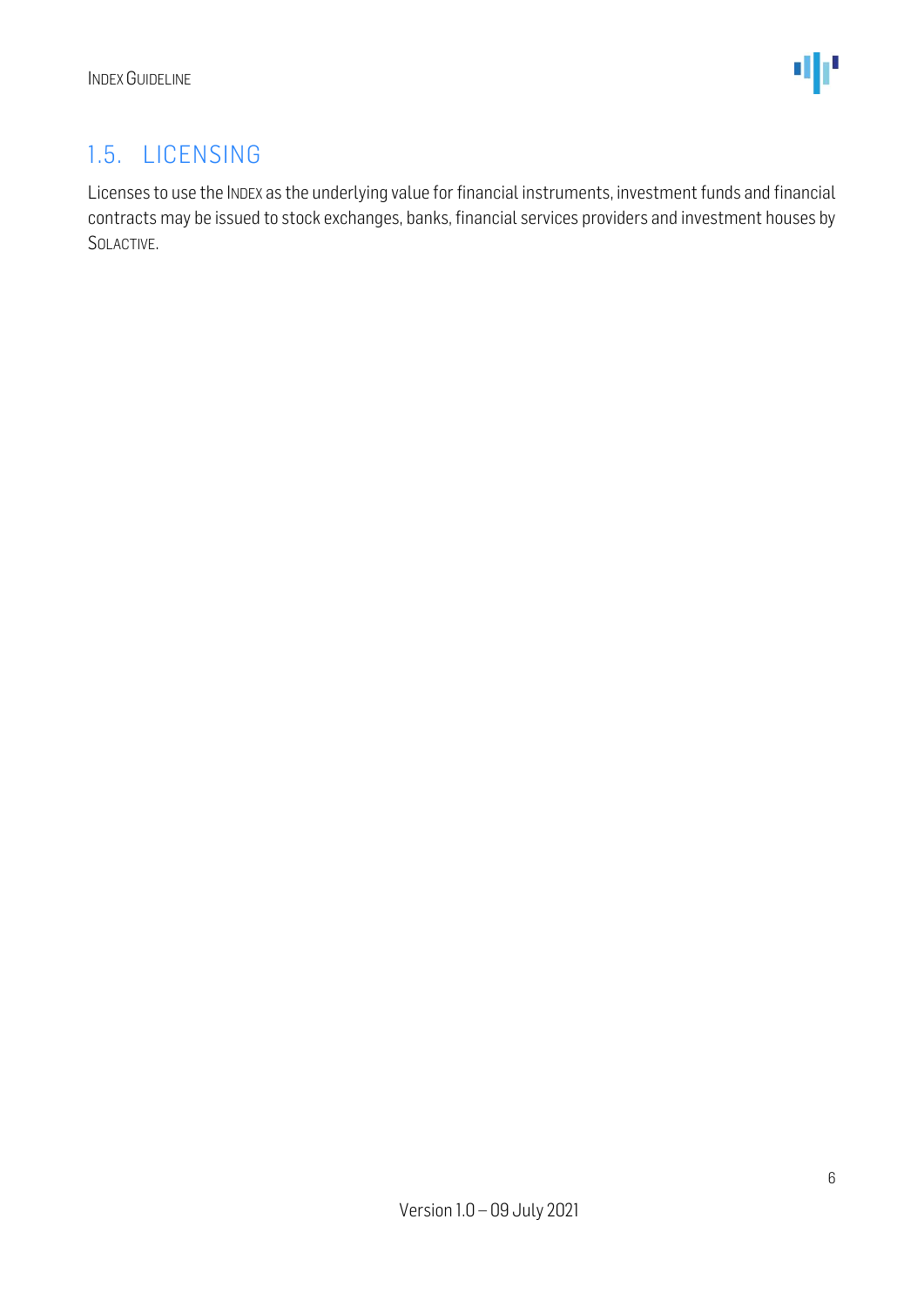### <span id="page-5-0"></span>1.5. LICENSING

Licenses to use the INDEX as the underlying value for financial instruments, investment funds and financial contracts may be issued to stock exchanges, banks, financial services providers and investment houses by SOLACTIVE.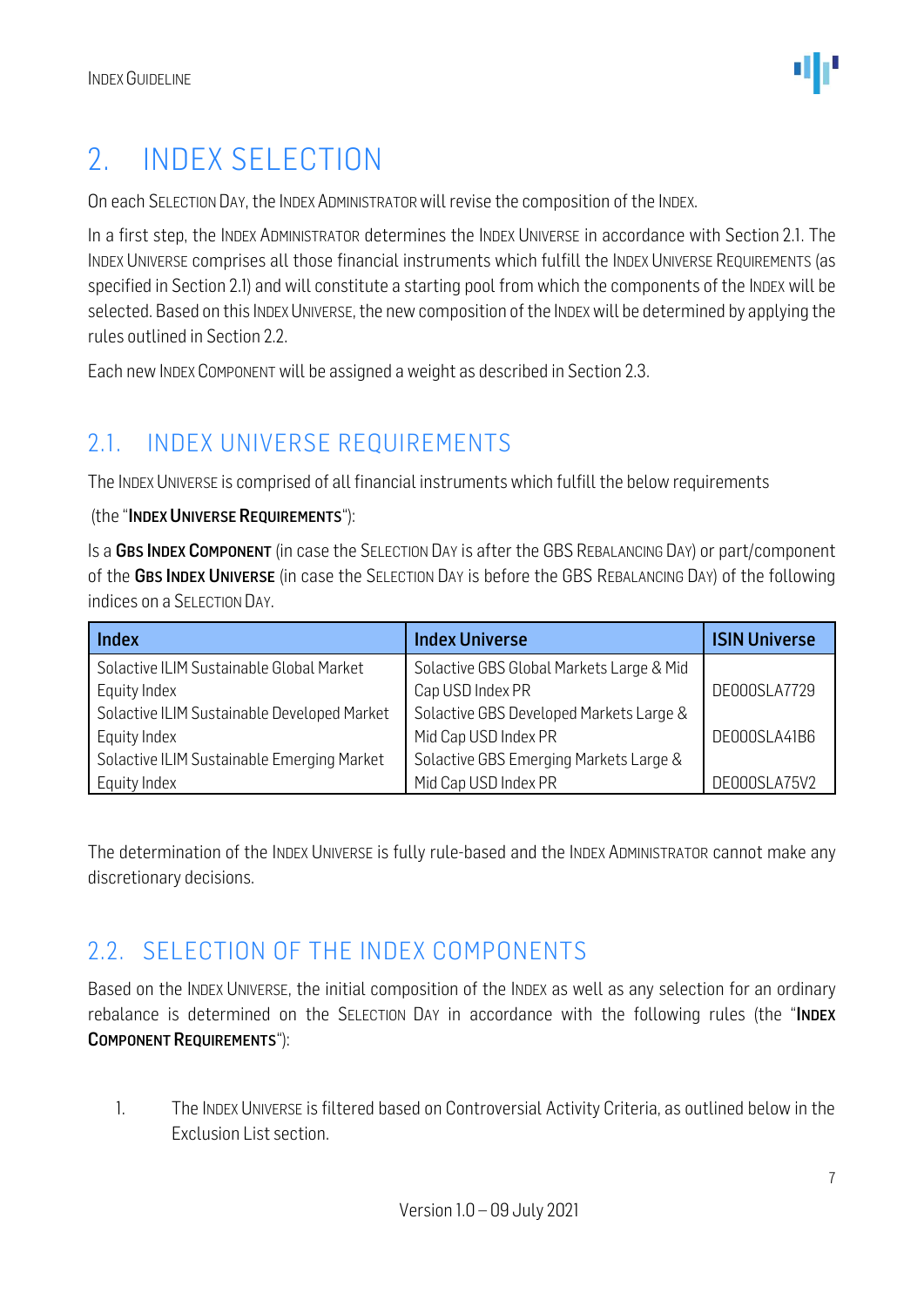## <span id="page-6-0"></span>2. INDEX SELECTION

On each SELECTION DAY, the INDEX ADMINISTRATORwill revise the composition of the INDEX.

In a first step, the INDEX ADMINISTRATOR determines the INDEX UNIVERSE in accordance with Section 2.1. The INDEX UNIVERSE comprises all those financial instruments which fulfill the INDEX UNIVERSE REQUIREMENTS (as specified in Section 2.1) and will constitute a starting pool from which the components of the INDEX will be selected. Based on this INDEX UNIVERSE, the new composition of the INDEX will be determined by applying the rules outlined in Section 2.2.

Each new INDEX COMPONENT will be assigned a weight as described in Section 2.3.

### <span id="page-6-1"></span>2.1. INDEX UNIVERSE REQUIREMENTS

The INDEX UNIVERSE is comprised of all financial instruments which fulfill the below requirements

#### (the "INDEX UNIVERSE REQUIREMENTS"):

Is a GBS INDEX COMPONENT (in case the SELECTION DAY is after the GBS REBALANCING DAY) or part/component of the GBS INDEX UNIVERSE (in case the SELECTION DAY is before the GBS REBALANCING DAY) of the following indices on a SELECTION DAY.

| <b>Index</b>                                | <b>Index Universe</b>                    | <b>ISIN Universe</b> |
|---------------------------------------------|------------------------------------------|----------------------|
| Solactive ILIM Sustainable Global Market    | Solactive GBS Global Markets Large & Mid |                      |
| Equity Index                                | Cap USD Index PR                         | DE000SLA7729         |
| Solactive ILIM Sustainable Developed Market | Solactive GBS Developed Markets Large &  |                      |
| Equity Index                                | Mid Cap USD Index PR                     | DE000SLA41B6         |
| Solactive ILIM Sustainable Emerging Market  | Solactive GBS Emerging Markets Large &   |                      |
| Equity Index                                | Mid Cap USD Index PR                     | DE000SLA75V2         |

The determination of the INDEX UNIVERSE is fully rule-based and the INDEX ADMINISTRATOR cannot make any discretionary decisions.

#### <span id="page-6-2"></span>2.2. SELECTION OF THE INDEX COMPONENTS

Based on the INDEX UNIVERSE, the initial composition of the INDEX as well as any selection for an ordinary rebalance is determined on the SELECTION DAY in accordance with the following rules (the "INDEX COMPONENT REQUIREMENTS"):

1. The INDEX UNIVERSE is filtered based on Controversial Activity Criteria, as outlined below in the Exclusion List section.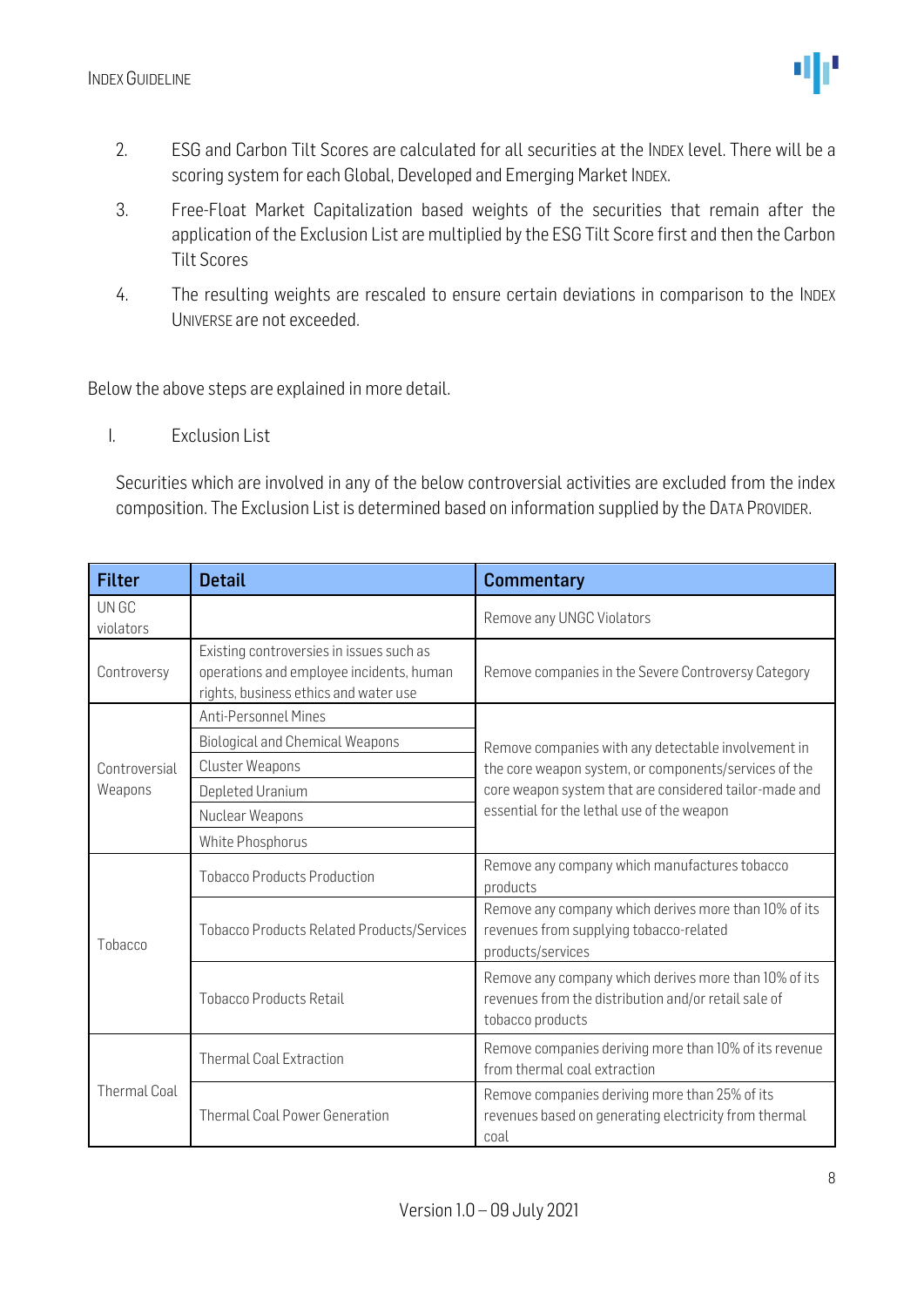

- 2. ESG and Carbon Tilt Scores are calculated for all securities at the INDEX level. There will be a scoring system for each Global, Developed and Emerging Market INDEX.
- 3. Free-Float Market Capitalization based weights of the securities that remain after the application of the Exclusion List are multiplied by the ESG Tilt Score first and then the Carbon Tilt Scores
- 4. The resulting weights are rescaled to ensure certain deviations in comparison to the INDEX UNIVERSE are not exceeded.

Below the above steps are explained in more detail.

I. Exclusion List

Securities which are involved in any of the below controversial activities are excluded from the index composition. The Exclusion List is determined based on information supplied by the DATA PROVIDER.

| <b>Filter</b>       | <b>Detail</b>                                                                                                                 | <b>Commentary</b>                                                                                                                 |  |  |
|---------------------|-------------------------------------------------------------------------------------------------------------------------------|-----------------------------------------------------------------------------------------------------------------------------------|--|--|
| UN GC<br>violators  |                                                                                                                               | Remove any UNGC Violators                                                                                                         |  |  |
| Controversy         | Existing controversies in issues such as<br>operations and employee incidents, human<br>rights, business ethics and water use | Remove companies in the Severe Controversy Category                                                                               |  |  |
|                     | <b>Anti-Personnel Mines</b>                                                                                                   |                                                                                                                                   |  |  |
|                     | <b>Biological and Chemical Weapons</b>                                                                                        | Remove companies with any detectable involvement in                                                                               |  |  |
| Controversial       | <b>Cluster Weapons</b>                                                                                                        | the core weapon system, or components/services of the                                                                             |  |  |
| Weapons             | Depleted Uranium                                                                                                              | core weapon system that are considered tailor-made and                                                                            |  |  |
|                     | Nuclear Weapons                                                                                                               | essential for the lethal use of the weapon                                                                                        |  |  |
|                     | White Phosphorus                                                                                                              |                                                                                                                                   |  |  |
|                     | <b>Tobacco Products Production</b>                                                                                            | Remove any company which manufactures tobacco<br>products                                                                         |  |  |
| Tobacco             | <b>Tobacco Products Related Products/Services</b>                                                                             | Remove any company which derives more than 10% of its<br>revenues from supplying tobacco-related<br>products/services             |  |  |
|                     | <b>Tobacco Products Retail</b>                                                                                                | Remove any company which derives more than 10% of its<br>revenues from the distribution and/or retail sale of<br>tobacco products |  |  |
|                     | <b>Thermal Coal Extraction</b>                                                                                                | Remove companies deriving more than 10% of its revenue<br>from thermal coal extraction                                            |  |  |
| <b>Thermal Coal</b> | <b>Thermal Coal Power Generation</b>                                                                                          | Remove companies deriving more than 25% of its<br>revenues based on generating electricity from thermal<br>coal                   |  |  |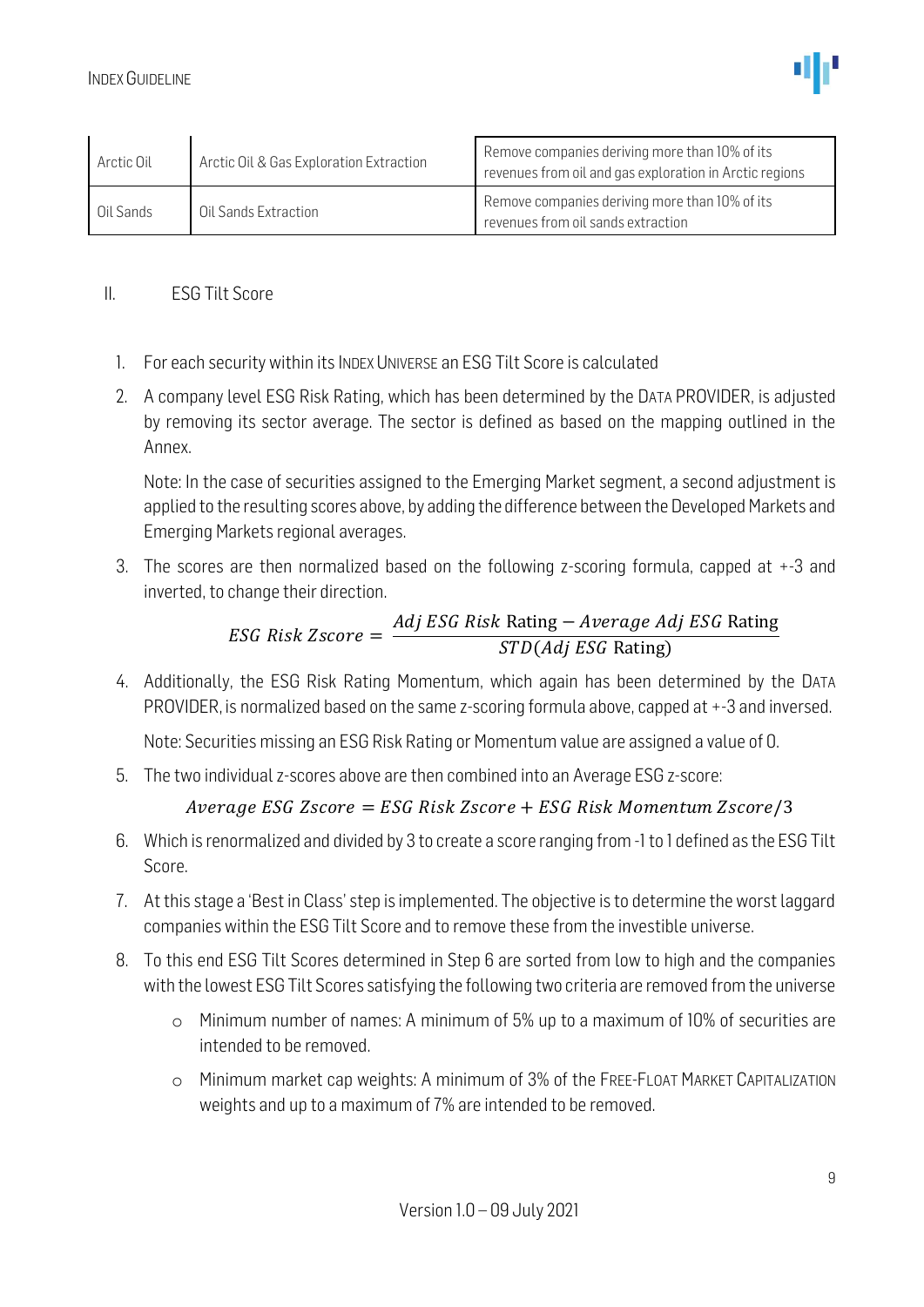| Arctic Oil | Arctic Oil & Gas Exploration Extraction | Remove companies deriving more than 10% of its<br>revenues from oil and gas exploration in Arctic regions |
|------------|-----------------------------------------|-----------------------------------------------------------------------------------------------------------|
| Oil Sands  | Oil Sands Extraction                    | Remove companies deriving more than 10% of its<br>revenues from oil sands extraction                      |

#### II. ESG Tilt Score

- 1. For each security within its INDEX UNIVERSE an ESG Tilt Score is calculated
- 2. A company level ESG Risk Rating, which has been determined by the DATA PROVIDER, is adjusted by removing its sector average. The sector is defined as based on the mapping outlined in the Annex.

Note: In the case of securities assigned to the Emerging Market segment, a second adjustment is applied to the resulting scores above, by adding the difference between the Developed Markets and Emerging Markets regional averages.

3. The scores are then normalized based on the following z-scoring formula, capped at +-3 and inverted, to change their direction.

#### $ESG$  Risk Zscore  $=$ Adj ESG Risk Rating − Average Adj ESG Rating STD(Adj ESG Rating)

4. Additionally, the ESG Risk Rating Momentum, which again has been determined by the DATA PROVIDER, is normalized based on the same z-scoring formula above, capped at +-3 and inversed.

Note: Securities missing an ESG Risk Rating or Momentum value are assigned a value of 0.

5. The two individual z-scores above are then combined into an Average ESG z-score:

#### Average ESG Zscore = ESG Risk Zscore + ESG Risk Momentum Zscore/3

- 6. Which is renormalized and divided by 3 to create a score ranging from -1 to 1 defined as the ESG Tilt Score.
- 7. At this stage a 'Best in Class' step is implemented. The objective is to determine the worst laggard companies within the ESG Tilt Score and to remove these from the investible universe.
- 8. To this end ESG Tilt Scores determined in Step 6 are sorted from low to high and the companies with the lowest ESG Tilt Scores satisfying the following two criteria are removed from the universe
	- o Minimum number of names: A minimum of 5% up to a maximum of 10% of securities are intended to be removed.
	- o Minimum market cap weights: A minimum of 3% of the FREE-FLOAT MARKET CAPITALIZATION weights and up to a maximum of 7% are intended to be removed.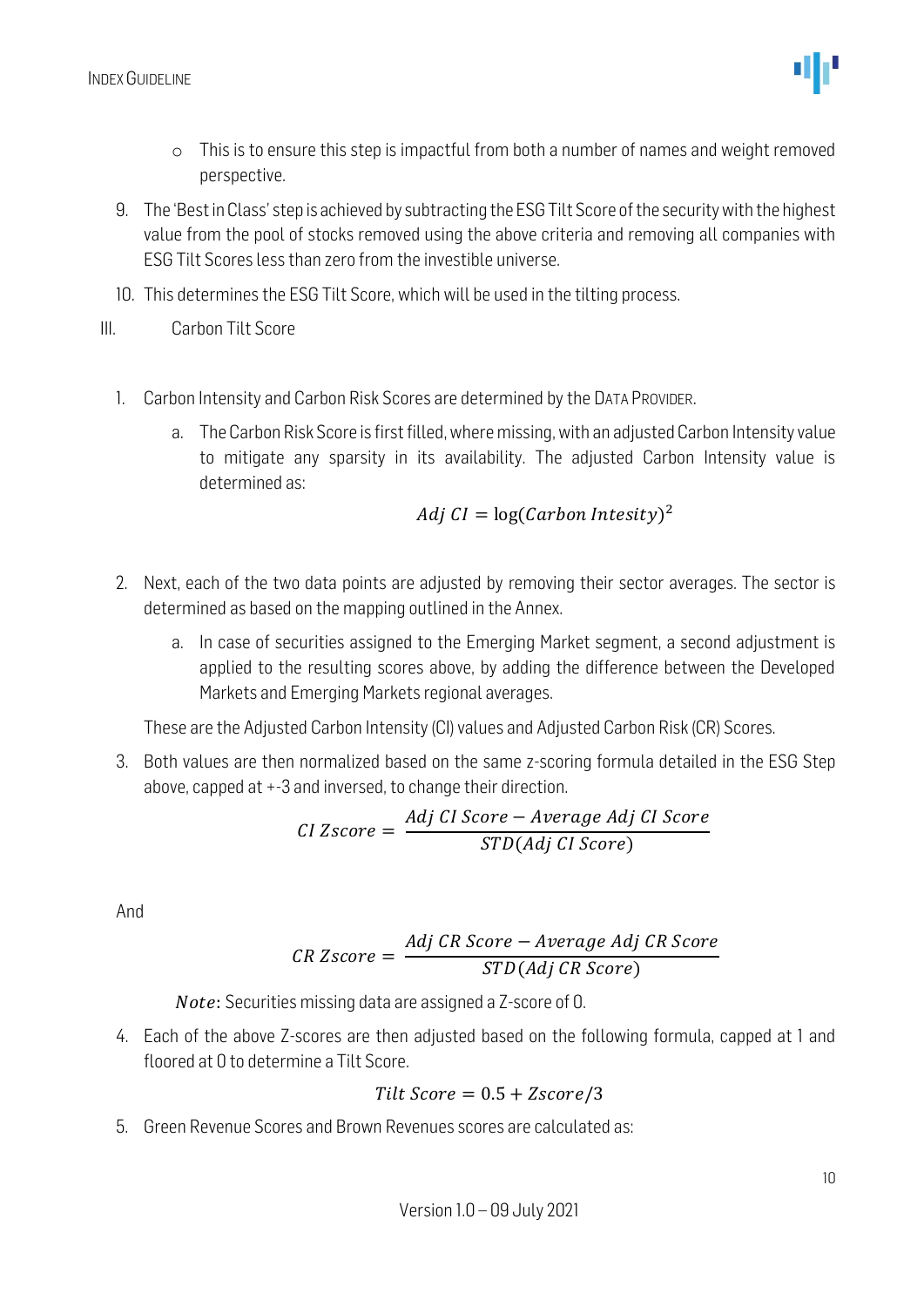

- o This is to ensure this step is impactful from both a number of names and weight removed perspective.
- 9. The 'Best in Class' step is achieved by subtracting the ESG Tilt Score of the security with the highest value from the pool of stocks removed using the above criteria and removing all companies with ESG Tilt Scores less than zero from the investible universe.
- 10. This determines the ESG Tilt Score, which will be used in the tilting process.
- III. Carbon Tilt Score
	- 1. Carbon Intensity and Carbon Risk Scores are determined by the DATA PROVIDER.
		- a. The Carbon Risk Score is first filled, where missing, with an adjusted Carbon Intensity value to mitigate any sparsity in its availability. The adjusted Carbon Intensity value is determined as:

$$
Adj\ CI = \log(Carbon\ Intesity)^2
$$

- 2. Next, each of the two data points are adjusted by removing their sector averages. The sector is determined as based on the mapping outlined in the Annex.
	- a. In case of securities assigned to the Emerging Market segment, a second adjustment is applied to the resulting scores above, by adding the difference between the Developed Markets and Emerging Markets regional averages.

These are the Adjusted Carbon Intensity (CI) values and Adjusted Carbon Risk (CR) Scores.

3. Both values are then normalized based on the same z-scoring formula detailed in the ESG Step above, capped at +-3 and inversed, to change their direction.

$$
CI\ Zscore = \frac{Adj\ CI\ Score - Average\ Adj\ CI\ Score}{STD(Adj\ CI\ Score)}
$$

And

$$
CR\ Zscore = \frac{Adj\ CR\ Score - Average\ Adj\ CR\ Score}{STD(Adj\ CR\ Score)}
$$

Note: Securities missing data are assigned a Z-score of 0.

4. Each of the above Z-scores are then adjusted based on the following formula, capped at 1 and floored at 0 to determine a Tilt Score.

$$
Tilt Score = 0.5 + Zscore/3
$$

5. Green Revenue Scores and Brown Revenues scores are calculated as: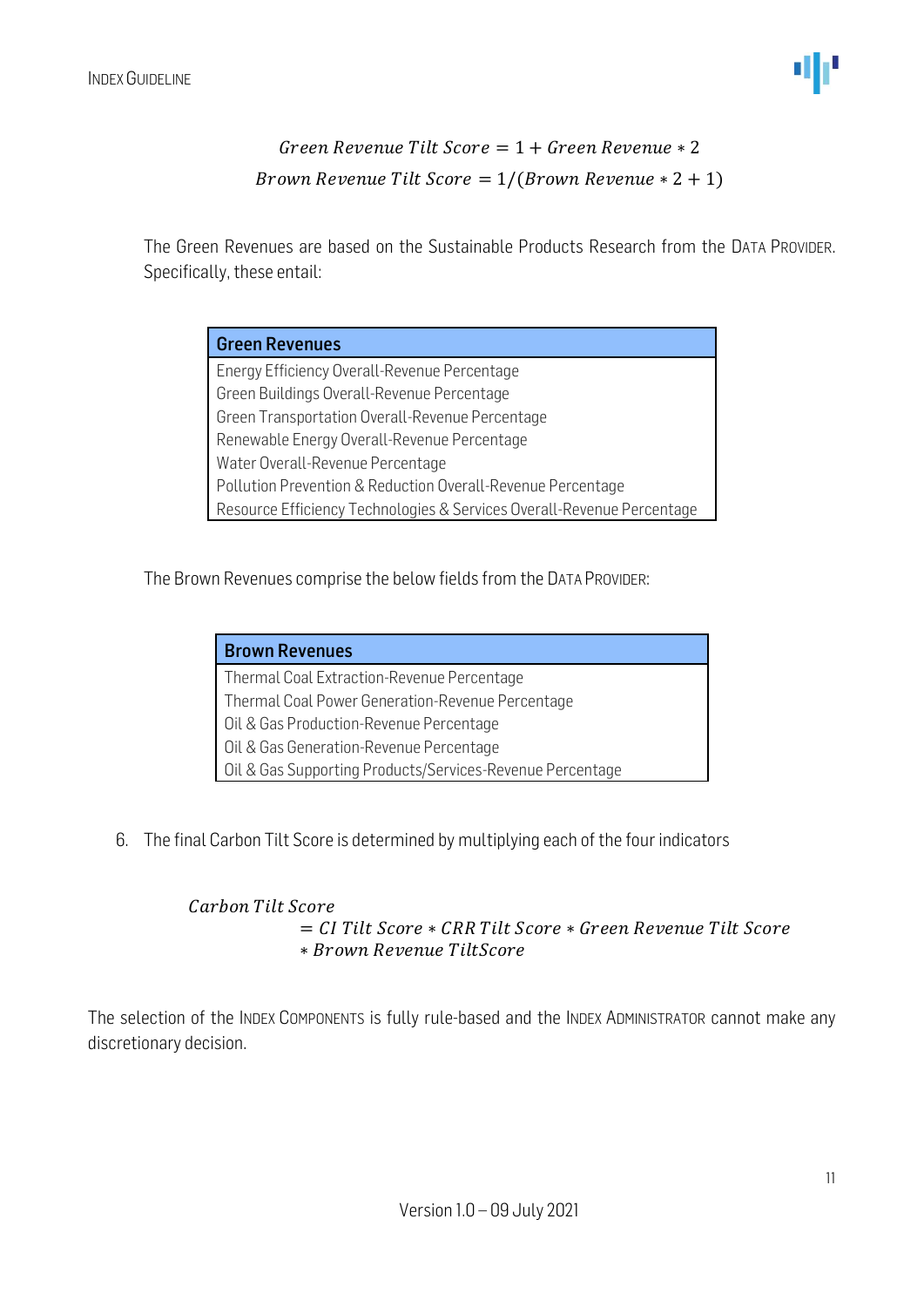#### Green Revenue Tilt Score =  $1 +$  Green Revenue  $* 2$ Brown Revenue Tilt Score =  $1/(Brown$  Revenue  $* 2 + 1)$

The Green Revenues are based on the Sustainable Products Research from the DATA PROVIDER. Specifically, these entail:

| <b>Green Revenues</b>                                                  |
|------------------------------------------------------------------------|
| Energy Efficiency Overall-Revenue Percentage                           |
| Green Buildings Overall-Revenue Percentage                             |
| Green Transportation Overall-Revenue Percentage                        |
| Renewable Energy Overall-Revenue Percentage                            |
| Water Overall-Revenue Percentage                                       |
| Pollution Prevention & Reduction Overall-Revenue Percentage            |
| Resource Efficiency Technologies & Services Overall-Revenue Percentage |

The Brown Revenues comprise the below fields from the DATA PROVIDER:

| <b>Brown Revenues</b>                                     |
|-----------------------------------------------------------|
| Thermal Coal Extraction-Revenue Percentage                |
| Thermal Coal Power Generation-Revenue Percentage          |
| Oil & Gas Production-Revenue Percentage                   |
| Oil & Gas Generation-Revenue Percentage                   |
| Oil & Gas Supporting Products/Services-Revenue Percentage |

6. The final Carbon Tilt Score is determined by multiplying each of the four indicators

#### Carbon Tilt Score  $=$  CI Tilt Score  $*$  CRR Tilt Score  $*$  Green Revenue Tilt Score ∗

The selection of the INDEX COMPONENTS is fully rule-based and the INDEX ADMINISTRATOR cannot make any discretionary decision.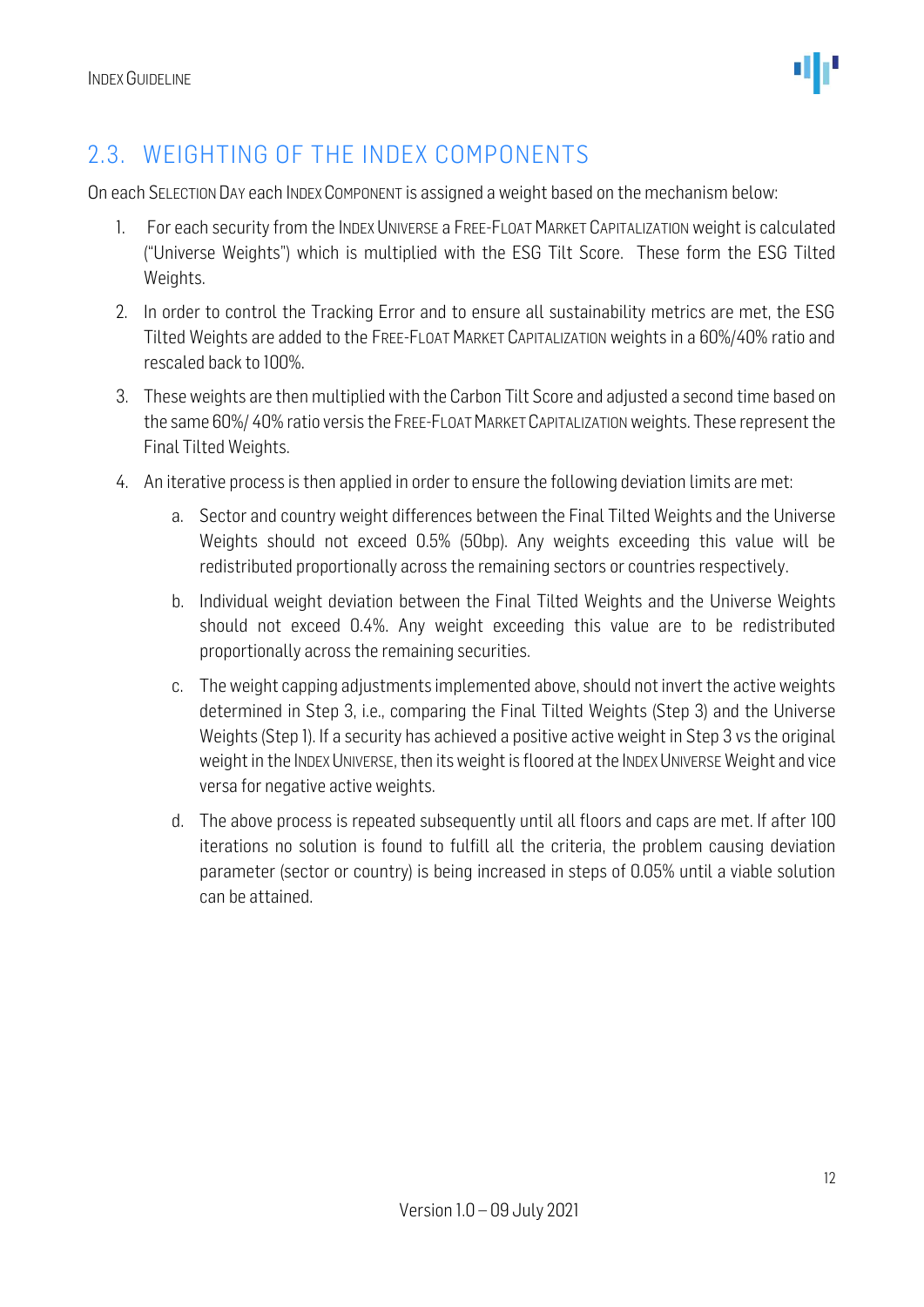

### <span id="page-11-0"></span>2.3. WEIGHTING OF THE INDEX COMPONENTS

On each SELECTION DAY each INDEX COMPONENT is assigned a weight based on the mechanism below:

- 1. For each security from the INDEX UNIVERSE a FREE-FLOAT MARKET CAPITALIZATION weight is calculated ("Universe Weights") which is multiplied with the ESG Tilt Score. These form the ESG Tilted Weights.
- 2. In order to control the Tracking Error and to ensure all sustainability metrics are met, the ESG Tilted Weights are added to the FREE-FLOAT MARKET CAPITALIZATION weights in a 60%/40% ratio and rescaled back to 100%.
- 3. These weights are then multiplied with the Carbon Tilt Score and adjusted a second time based on the same 60%/ 40% ratio versis the FREE-FLOAT MARKET CAPITALIZATIONweights. These represent the Final Tilted Weights.
- 4. An iterative process is then applied in order to ensure the following deviation limits are met:
	- a. Sector and country weight differences between the Final Tilted Weights and the Universe Weights should not exceed 0.5% (50bp). Any weights exceeding this value will be redistributed proportionally across the remaining sectors or countries respectively.
	- b. Individual weight deviation between the Final Tilted Weights and the Universe Weights should not exceed 0.4%. Any weight exceeding this value are to be redistributed proportionally across the remaining securities.
	- c. The weight capping adjustments implemented above, should not invert the active weights determined in Step 3, i.e., comparing the Final Tilted Weights (Step 3) and the Universe Weights (Step 1). If a security has achieved a positive active weight in Step 3 vs the original weight in the INDEX UNIVERSE, then its weight is floored at the INDEX UNIVERSE Weight and vice versa for negative active weights.
	- d. The above process is repeated subsequently until all floors and caps are met. If after 100 iterations no solution is found to fulfill all the criteria, the problem causing deviation parameter (sector or country) is being increased in steps of 0.05% until a viable solution can be attained.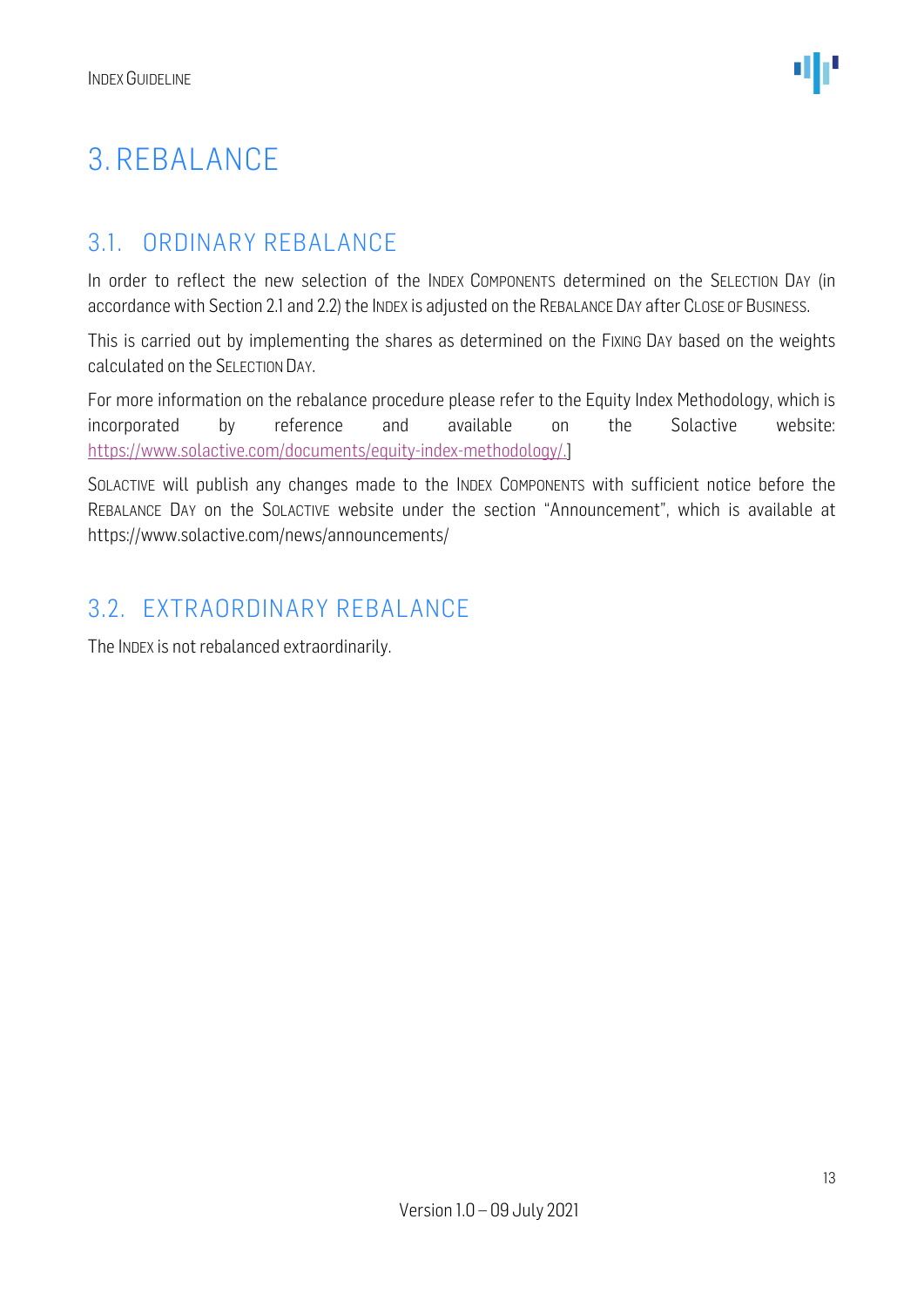## <span id="page-12-0"></span>3. REBALANCE

#### <span id="page-12-1"></span>3.1. ORDINARY REBALANCE

In order to reflect the new selection of the INDEX COMPONENTS determined on the SELECTION DAY (in accordance with Section 2.1 and 2.2) the INDEX is adjusted on the REBALANCE DAY after CLOSE OF BUSINESS.

This is carried out by implementing the shares as determined on the FIXING DAY based on the weights calculated on the SELECTION DAY.

For more information on the rebalance procedure please refer to the Equity Index Methodology, which is incorporated by reference and available on the Solactive website: [https://www.solactive.com/documents/equity-index-methodology/.](https://www.solactive.com/documents/equity-index-methodology/)]

SOLACTIVE will publish any changes made to the INDEX COMPONENTS with sufficient notice before the REBALANCE DAY on the SOLACTIVE website under the section "Announcement", which is available at https://www.solactive.com/news/announcements/

#### <span id="page-12-2"></span>3.2. EXTRAORDINARY REBALANCE

The INDEX is not rebalanced extraordinarily.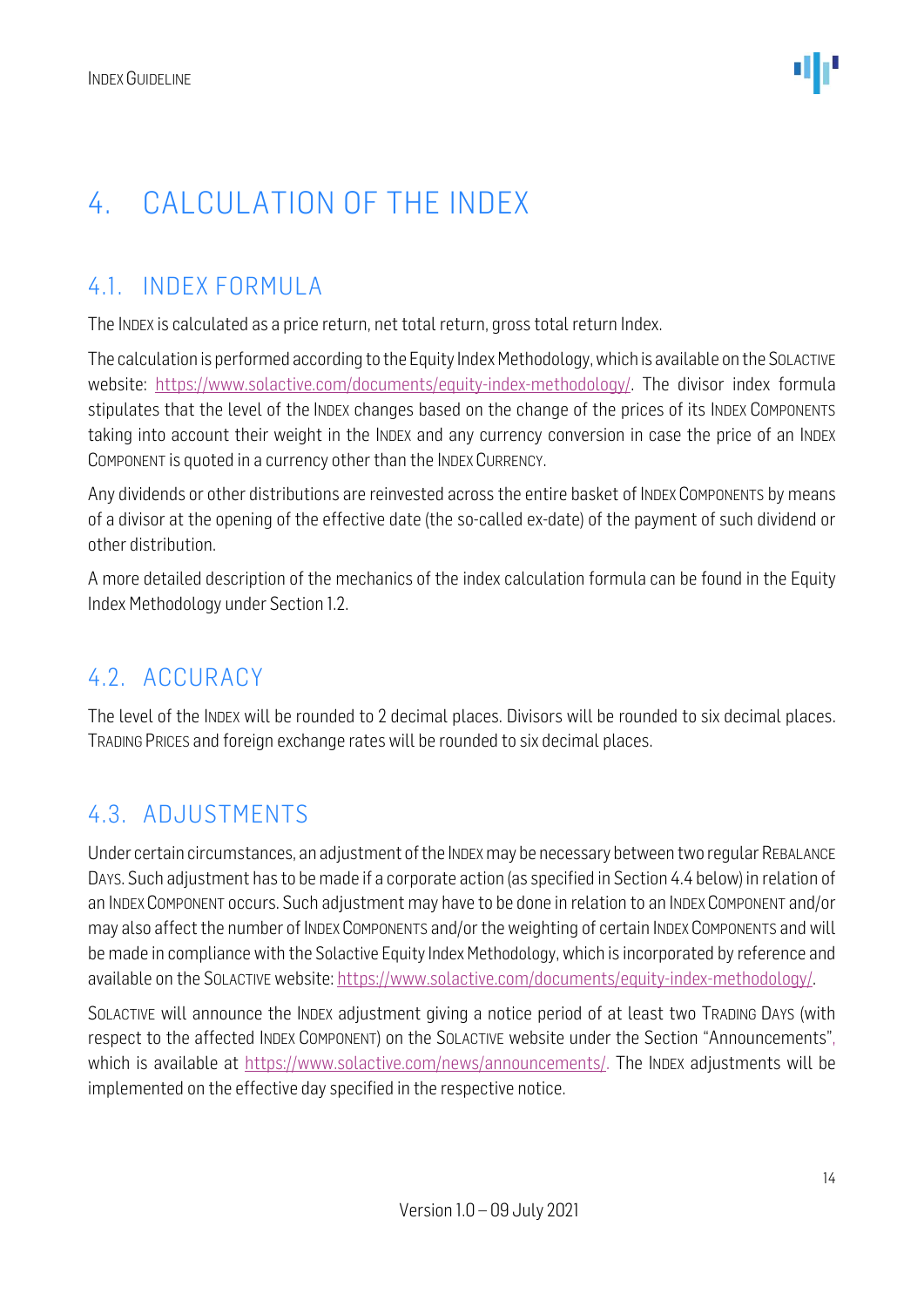## <span id="page-13-0"></span>4. CALCULATION OF THE INDEX

### <span id="page-13-1"></span>4.1. INDEX FORMULA

The INDEX is calculated as a price return, net total return, gross total return Index.

The calculation is performed according to the Equity Index Methodology, which is available on the SOLACTIVE website: [https://www.solactive.com/documents/equity-index-methodology/.](https://www.solactive.com/documents/equity-index-methodology/) The divisor index formula stipulates that the level of the INDEX changes based on the change of the prices of its INDEX COMPONENTS taking into account their weight in the INDEX and any currency conversion in case the price of an INDEX COMPONENT is quoted in a currency other than the INDEX CURRENCY.

Any dividends or other distributions are reinvested across the entire basket of INDEX COMPONENTS by means of a divisor at the opening of the effective date (the so-called ex-date) of the payment of such dividend or other distribution.

A more detailed description of the mechanics of the index calculation formula can be found in the Equity Index Methodology under Section 1.2.

#### <span id="page-13-2"></span>4.2. ACCURACY

The level of the INDEX will be rounded to 2 decimal places. Divisors will be rounded to six decimal places. TRADING PRICES and foreign exchange rates will be rounded to six decimal places.

#### <span id="page-13-3"></span>4.3. ADJUSTMENTS

Under certain circumstances, an adjustment of the INDEXmay be necessary between two regular REBALANCE DAYS. Such adjustment has to be made if a corporate action (as specified in Section 4.4 below) in relation of an INDEX COMPONENT occurs. Such adjustment may have to be done in relation to an INDEX COMPONENT and/or may also affect the number of INDEX COMPONENTS and/or the weighting of certain INDEX COMPONENTS and will be made in compliance with the Solactive Equity Index Methodology, which is incorporated by reference and available on the SOLACTIVE website: [https://www.solactive.com/documents/equity-index-methodology/.](https://www.solactive.com/documents/equity-index-methodology/)

SOLACTIVE will announce the INDEX adjustment giving a notice period of at least two TRADING DAYS (with respect to the affected INDEX COMPONENT) on the SOLACTIVE website under the Section "Announcements", which is available at https://www.solactive.com/news/announcements/. The INDEX adjustments will be implemented on the effective day specified in the respective notice.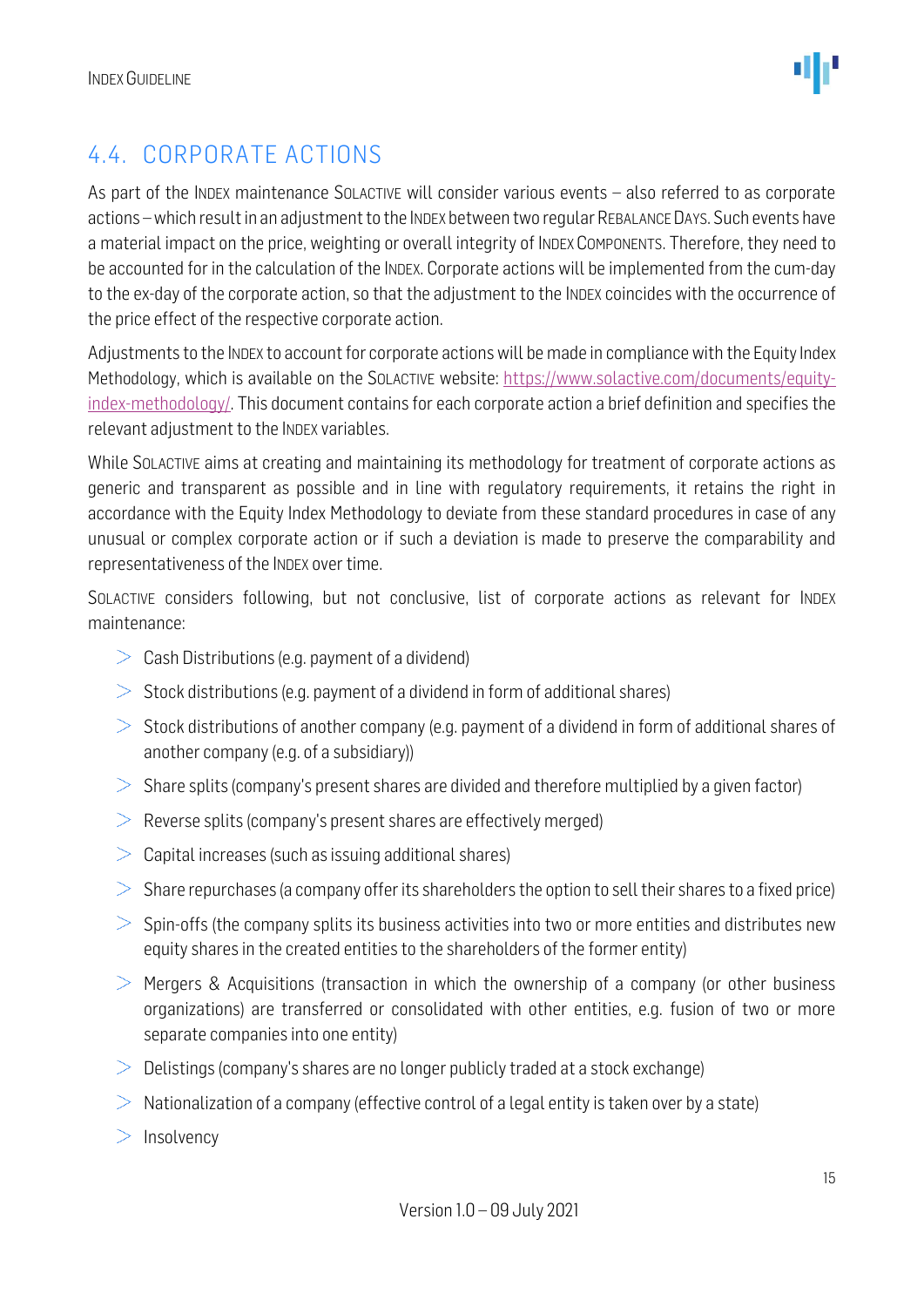

### <span id="page-14-0"></span>4.4. CORPORATE ACTIONS

As part of the INDEX maintenance SOLACTIVE will consider various events - also referred to as corporate actions –which result in an adjustment to the INDEX between two regular REBALANCE DAYS. Such events have a material impact on the price, weighting or overall integrity of INDEX COMPONENTS. Therefore, they need to be accounted for in the calculation of the INDEX. Corporate actions will be implemented from the cum-day to the ex-day of the corporate action, so that the adjustment to the INDEX coincides with the occurrence of the price effect of the respective corporate action.

Adjustments to the INDEX to account for corporate actions will be made in compliance with the Equity Index Methodology, which is available on the SOLACTIVE website: [https://www.solactive.com/documents/equity](https://www.solactive.com/documents/equity-index-methodology/)[index-methodology/.](https://www.solactive.com/documents/equity-index-methodology/) This document contains for each corporate action a brief definition and specifies the relevant adjustment to the INDEX variables.

While SOLACTIVE aims at creating and maintaining its methodology for treatment of corporate actions as generic and transparent as possible and in line with regulatory requirements, it retains the right in accordance with the Equity Index Methodology to deviate from these standard procedures in case of any unusual or complex corporate action or if such a deviation is made to preserve the comparability and representativeness of the INDEX over time.

SOLACTIVE considers following, but not conclusive, list of corporate actions as relevant for INDEX maintenance:

- $\geq$  Cash Distributions (e.g. payment of a dividend)
- $>$  Stock distributions (e.g. payment of a dividend in form of additional shares)
- $>$  Stock distributions of another company (e.g. payment of a dividend in form of additional shares of another company (e.g. of a subsidiary))
- $>$  Share splits (company's present shares are divided and therefore multiplied by a given factor)
- $\geq$  Reverse splits (company's present shares are effectively merged)
- $>$  Capital increases (such as issuing additional shares)
- $>$  Share repurchases (a company offer its shareholders the option to sell their shares to a fixed price)
- $>$  Spin-offs (the company splits its business activities into two or more entities and distributes new equity shares in the created entities to the shareholders of the former entity)
- $>$  Mergers & Acquisitions (transaction in which the ownership of a company (or other business organizations) are transferred or consolidated with other entities, e.g. fusion of two or more separate companies into one entity)
- $\geq$  Delistings (company's shares are no longer publicly traded at a stock exchange)
- $>$  Nationalization of a company (effective control of a legal entity is taken over by a state)
- $>$  Insolvency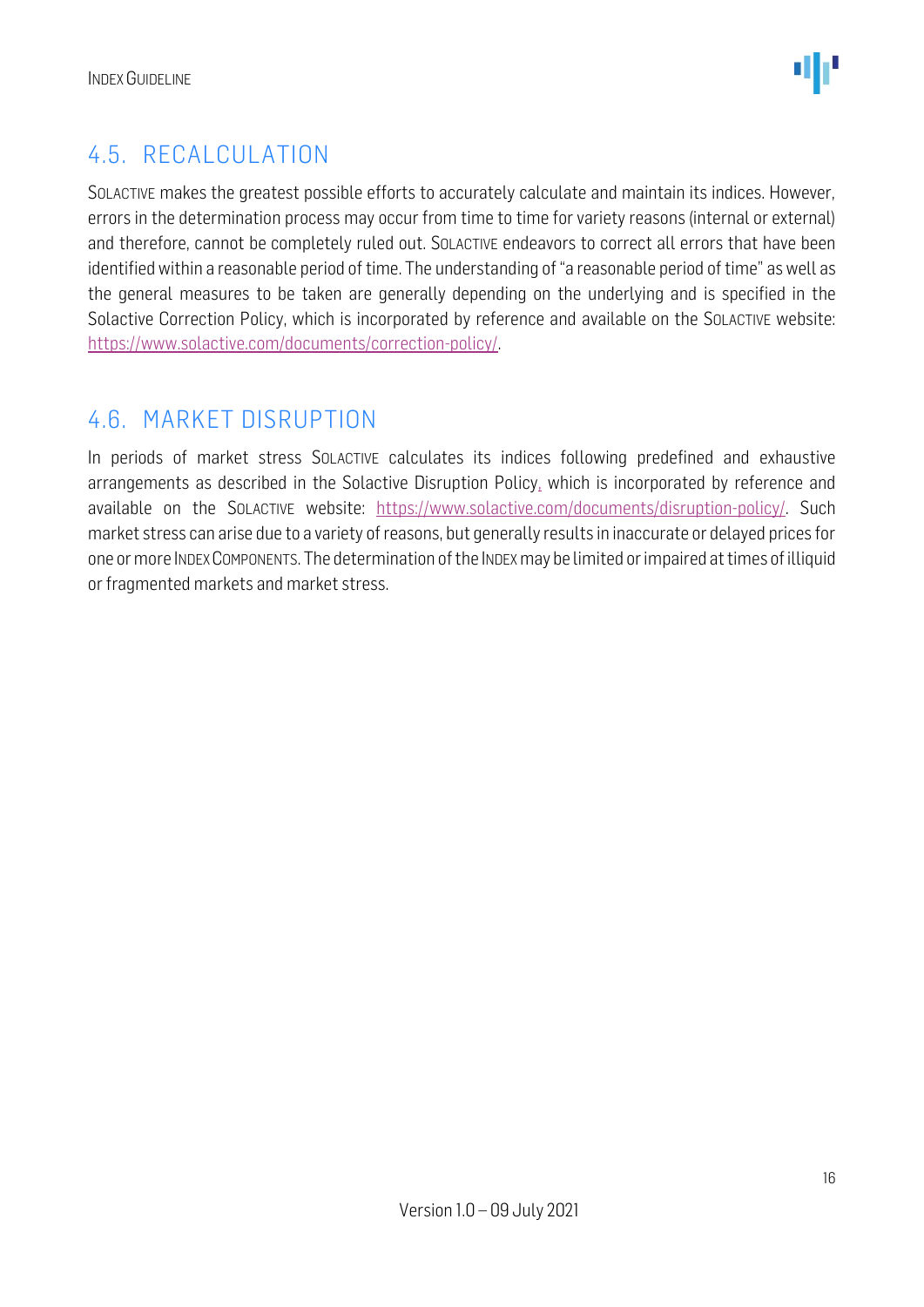### <span id="page-15-0"></span>4.5. RECALCULATION

SOLACTIVE makes the greatest possible efforts to accurately calculate and maintain its indices. However, errors in the determination process may occur from time to time for variety reasons (internal or external) and therefore, cannot be completely ruled out. SOLACTIVE endeavors to correct all errors that have been identified within a reasonable period of time. The understanding of "a reasonable period of time" as well as the general measures to be taken are generally depending on the underlying and is specified in the Solactive Correction Policy, which is incorporated by reference and available on the SOLACTIVE website: [https://www.solactive.com/documents/correction-policy/.](https://www.solactive.com/documents/correction-policy/)

### <span id="page-15-1"></span>4.6. MARKET DISRUPTION

In periods of market stress SOLACTIVE calculates its indices following predefined and exhaustive arrangements as described in the Solactive Disruption Policy, which is incorporated by reference and available on the SOLACTIVE website: [https://www.solactive.com/documents/disruption-policy/.](https://www.solactive.com/documents/disruption-policy/) Such market stress can arise due to a variety of reasons, but generally results in inaccurate or delayed prices for one or more INDEXCOMPONENTS. The determination of the INDEXmay be limited or impaired at times of illiquid or fragmented markets and market stress.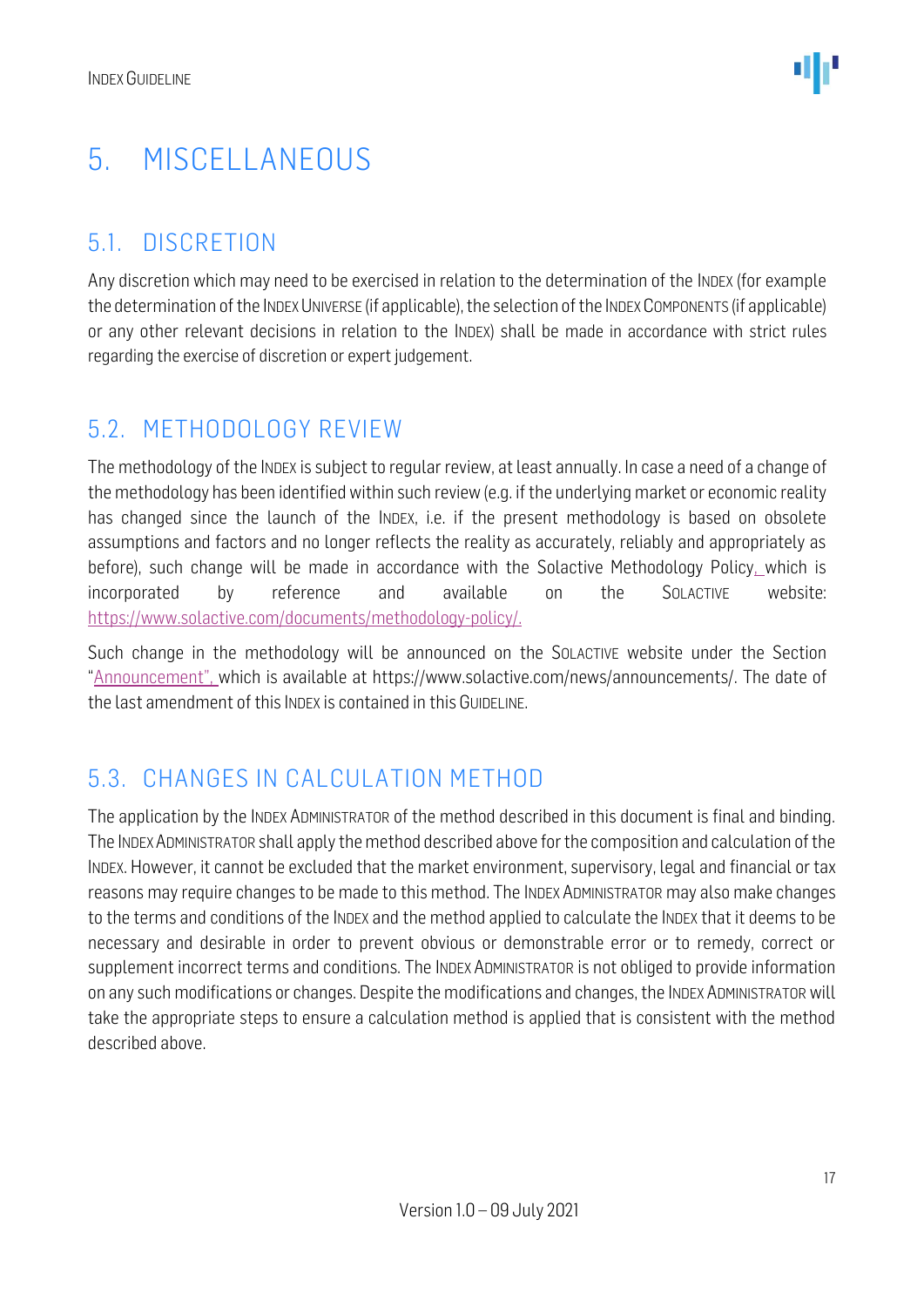## <span id="page-16-0"></span>5. MISCELLANEOUS

#### <span id="page-16-1"></span>5.1. DISCRETION

Any discretion which may need to be exercised in relation to the determination of the INDEX (for example the determination of the INDEX UNIVERSE (if applicable), the selection of the INDEX COMPONENTS (if applicable) or any other relevant decisions in relation to the INDEX) shall be made in accordance with strict rules regarding the exercise of discretion or expert judgement.

#### <span id="page-16-2"></span>5.2. METHODOLOGY REVIEW

The methodology of the INDEX is subject to regular review, at least annually. In case a need of a change of the methodology has been identified within such review (e.g. if the underlying market or economic reality has changed since the launch of the INDEX, i.e. if the present methodology is based on obsolete assumptions and factors and no longer reflects the reality as accurately, reliably and appropriately as before), such change will be made in accordance with the Solactive Methodology Policy, which is incorporated by reference and available on the SOLACTIVE website: [https://www.solactive.com/documents/methodology-policy/.](https://www.solactive.com/documents/methodology-policy/)

Such change in the methodology will be announced on the SOLACTIVE website under the Section "Announcement", which is available at https://www.solactive.com/news/announcements/. The date of the last amendment of this INDEX is contained in this GUIDELINE.

#### <span id="page-16-3"></span>5.3. CHANGES IN CALCULATION METHOD

The application by the INDEX ADMINISTRATOR of the method described in this document is final and binding. The INDEXADMINISTRATOR shall apply the method described above for the composition and calculation of the INDEX. However, it cannot be excluded that the market environment, supervisory, legal and financial or tax reasons may require changes to be made to this method. The INDEX ADMINISTRATOR may also make changes to the terms and conditions of the INDEX and the method applied to calculate the INDEX that it deems to be necessary and desirable in order to prevent obvious or demonstrable error or to remedy, correct or supplement incorrect terms and conditions. The INDEX ADMINISTRATOR is not obliged to provide information on any such modifications or changes. Despite the modifications and changes, the INDEX ADMINISTRATOR will take the appropriate steps to ensure a calculation method is applied that is consistent with the method described above.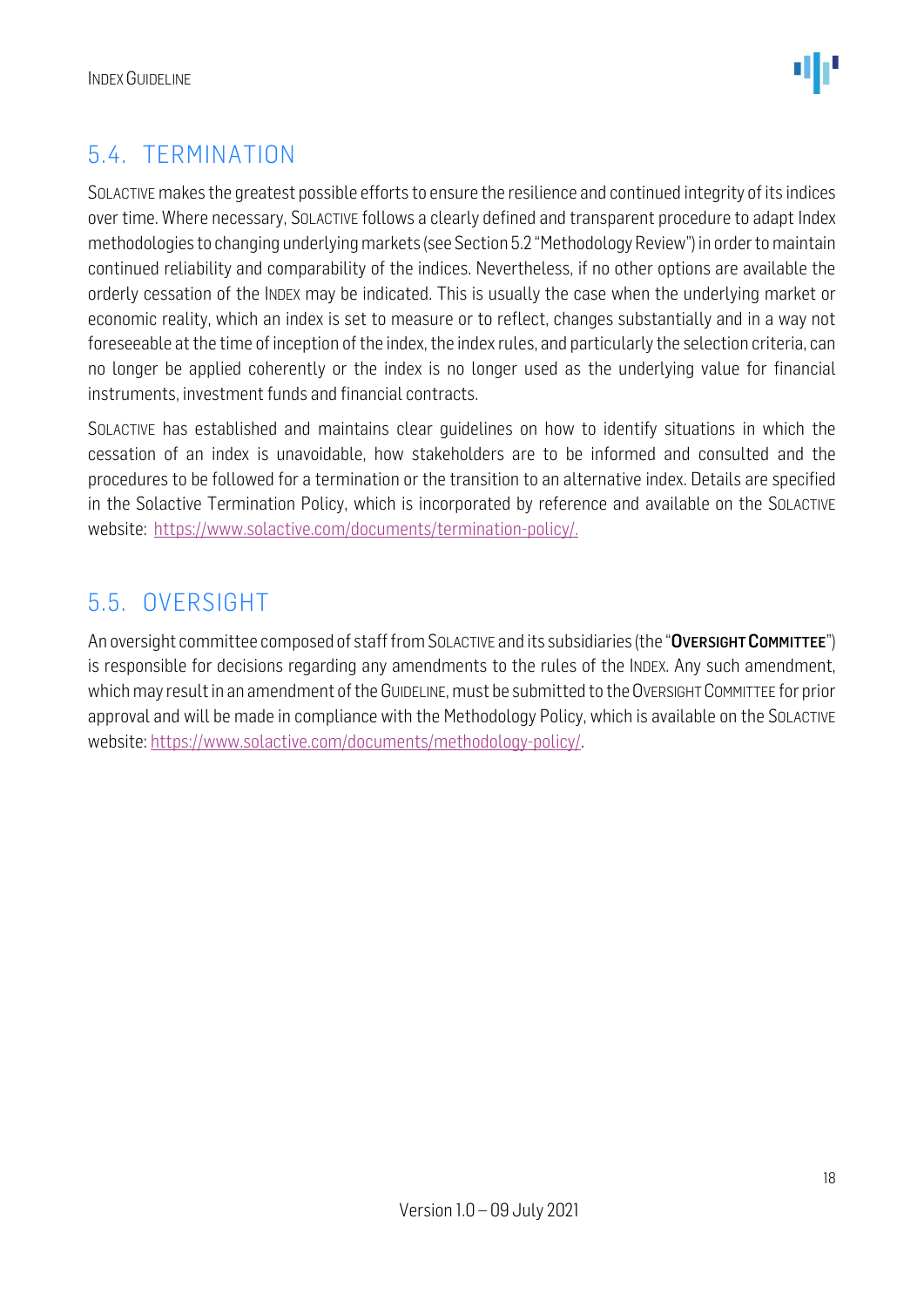

### <span id="page-17-0"></span>5.4. TERMINATION

SOLACTIVE makes the greatest possible efforts to ensure the resilience and continued integrity of its indices over time. Where necessary, SOLACTIVE follows a clearly defined and transparent procedure to adapt Index methodologies to changing underlying markets (see Section 5.2 "Methodology Review") in order to maintain continued reliability and comparability of the indices. Nevertheless, if no other options are available the orderly cessation of the INDEX may be indicated. This is usually the case when the underlying market or economic reality, which an index is set to measure or to reflect, changes substantially and in a way not foreseeable at the time of inception of the index, the index rules, and particularly the selection criteria, can no longer be applied coherently or the index is no longer used as the underlying value for financial instruments, investment funds and financial contracts.

SOLACTIVE has established and maintains clear guidelines on how to identify situations in which the cessation of an index is unavoidable, how stakeholders are to be informed and consulted and the procedures to be followed for a termination or the transition to an alternative index. Details are specified in the Solactive Termination Policy, which is incorporated by reference and available on the SOLACTIVE website: [https://www.solactive.com/documents/termination-policy/.](https://www.solactive.com/documents/termination-policy/)

#### <span id="page-17-1"></span>5.5. OVERSIGHT

An oversight committee composed of staff from SOLACTIVE and its subsidiaries (the "OVERSIGHT COMMITTEE") is responsible for decisions regarding any amendments to the rules of the INDEX. Any such amendment, which may result in an amendment of the GUIDELINE, must be submitted to the OVERSIGHT COMMITTEE for prior approval and will be made in compliance with the [Methodology](http://methodology/) Policy, which is available on the SOLACTIVE website: [https://www.solactive.com/documents/methodology-policy/.](https://www.solactive.com/documents/methodology-policy/)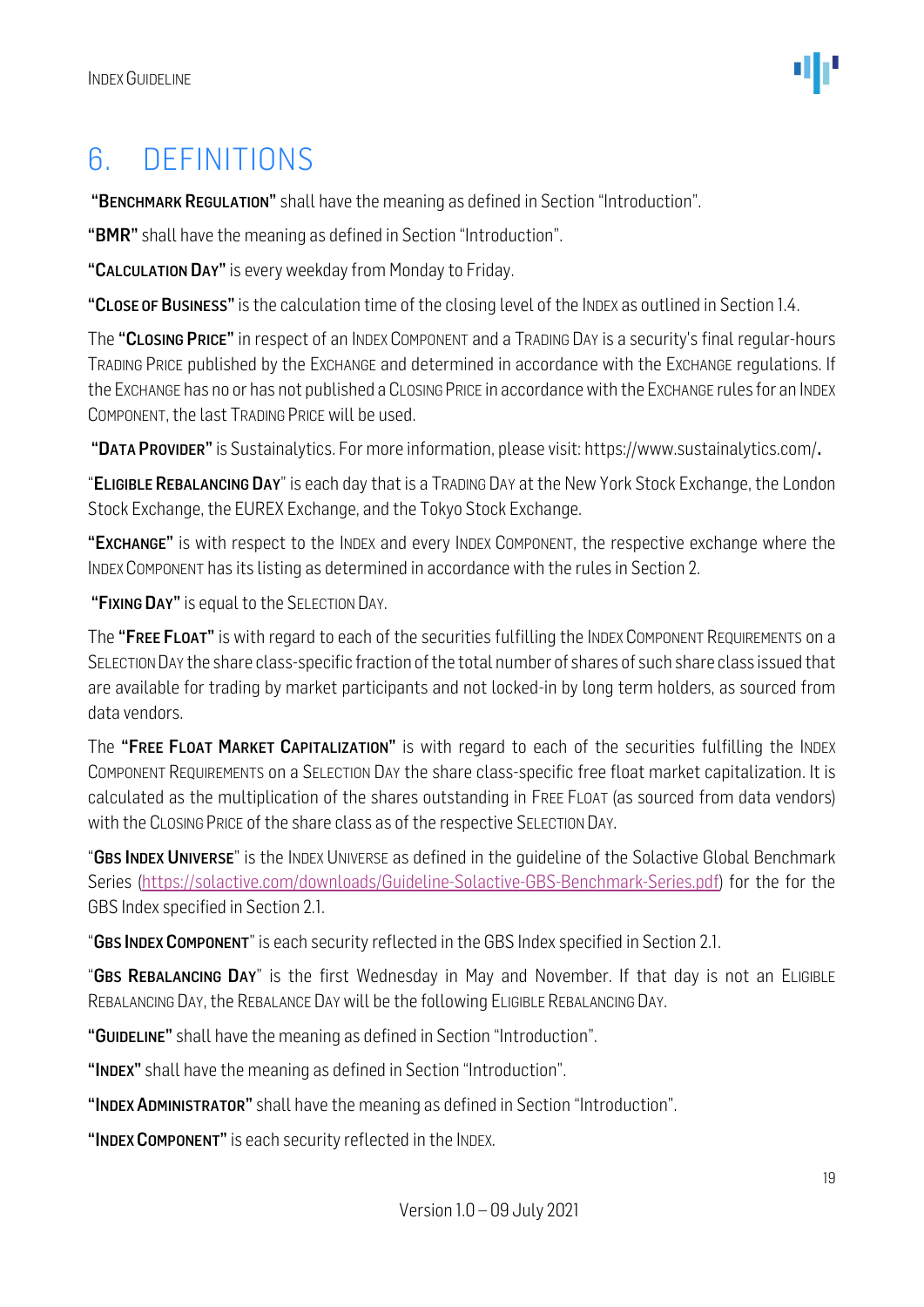### <span id="page-18-0"></span>6. DEFINITIONS

"BENCHMARK REGULATION" shall have the meaning as defined in Section "Introduction".

"BMR" shall have the meaning as defined in Section "Introduction".

"CALCULATION DAY" is every weekday from Monday to Friday.

"CLOSE OF BUSINESS" is the calculation time of the closing level of the INDEX as outlined in Section 1.4.

The "CLOSING PRICE" in respect of an INDEX COMPONENT and a TRADING DAY is a security's final regular-hours TRADING PRICE published by the EXCHANGE and determined in accordance with the EXCHANGE regulations. If the EXCHANGE has no or has not published a CLOSING PRICE in accordance with the EXCHANGE rules for an INDEX COMPONENT, the last TRADING PRICE will be used.

"DATA PROVIDER" is Sustainalytics. For more information, please visit: https://www.sustainalytics.com/.

"ELIGIBLE REBALANCING DAY" is each day that is a TRADING DAY at the New York Stock Exchange, the London Stock Exchange, the EUREX Exchange, and the Tokyo Stock Exchange.

"EXCHANGE" is with respect to the INDEX and every INDEX COMPONENT, the respective exchange where the INDEX COMPONENT has its listing as determined in accordance with the rules in Section 2.

"FIXING DAY" is equal to the SELECTION DAY.

The "FREE FLOAT" is with regard to each of the securities fulfilling the INDEX COMPONENT REQUIREMENTS on a SELECTION DAY the share class-specific fraction of the total number of shares of such share class issued that are available for trading by market participants and not locked-in by long term holders, as sourced from data vendors.

The "FREE FLOAT MARKET CAPITALIZATION" is with regard to each of the securities fulfilling the INDEX COMPONENT REQUIREMENTS on a SELECTION DAY the share class-specific free float market capitalization. It is calculated as the multiplication of the shares outstanding in FREE FLOAT (as sourced from data vendors) with the CLOSING PRICE of the share class as of the respective SELECTION DAY.

"GBS INDEX UNIVERSE" is the INDEX UNIVERSE as defined in the quideline of the Solactive Global Benchmark Series [\(https://solactive.com/downloads/Guideline-Solactive-GBS-Benchmark-Series.pdf\)](https://solactive.com/downloads/Guideline-Solactive-GBS-Benchmark-Series.pdf) for the for the GBS Index specified in Section 2.1.

"GBS INDEX COMPONENT" is each security reflected in the GBS Index specified in Section 2.1.

"GBS REBALANCING DAY" is the first Wednesday in May and November. If that day is not an ELIGIBLE REBALANCING DAY, the REBALANCE DAY will be the following ELIGIBLE REBALANCING DAY.

"GUIDELINE" shall have the meaning as defined in Section "Introduction".

"INDEX" shall have the meaning as defined in Section "Introduction".

"INDEX ADMINISTRATOR" shall have the meaning as defined in Section "Introduction".

"INDEX COMPONENT" is each security reflected in the INDEX.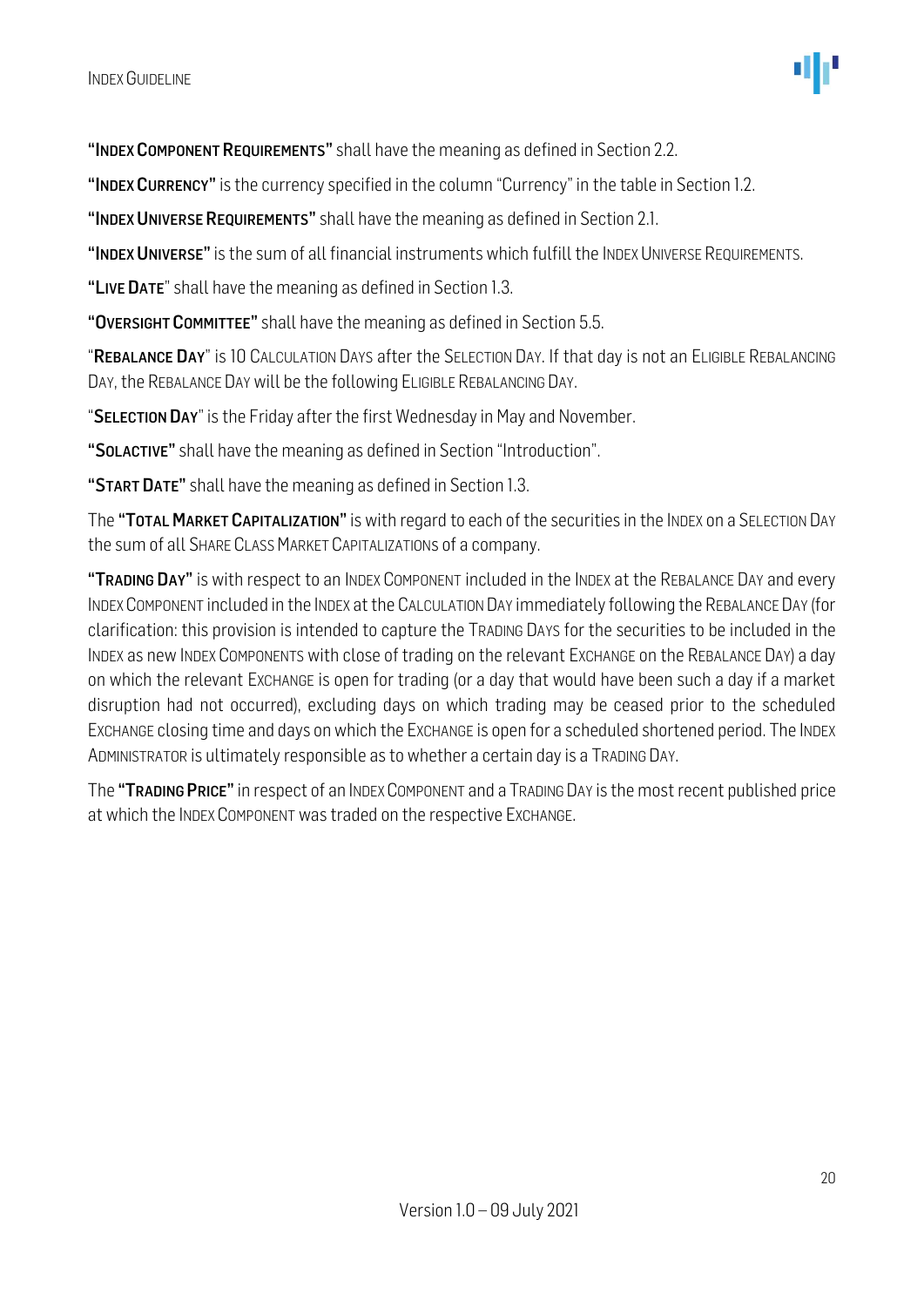"INDEX COMPONENT REQUIREMENTS" shall have the meaning as defined in Section 2.2.

"INDEX CURRENCY" is the currency specified in the column "Currency" in the table in Section 1.2.

"INDEX UNIVERSE REQUIREMENTS" shall have the meaning as defined in Section 2.1.

"INDEX UNIVERSE" is the sum of all financial instruments which fulfill the INDEX UNIVERSE REQUIREMENTS.

"LIVE DATE" shall have the meaning as defined in Section 1.3.

"OVERSIGHT COMMITTEE" shall have the meaning as defined in Section 5.5.

"REBALANCE DAY" is 10 CALCULATION DAYS after the SELECTION DAY. If that day is not an ELIGIBLE REBALANCING DAY, the REBALANCE DAY will be the following ELIGIBLE REBALANCING DAY.

"SELECTION DAY" is the Friday after the first Wednesday in May and November.

"SOLACTIVE" shall have the meaning as defined in Section "Introduction".

"START DATE" shall have the meaning as defined in Section 1.3.

The "TOTAL MARKET CAPITALIZATION" is with regard to each of the securities in the INDEX on a SELECTION DAY the sum of all SHARE CLASS MARKET CAPITALIZATIONs of a company.

"TRADING DAY" is with respect to an INDEX COMPONENT included in the INDEX at the REBALANCE DAY and every INDEXCOMPONENT included in the INDEX at the CALCULATION DAY immediately following the REBALANCE DAY (for clarification: this provision is intended to capture the TRADING DAYS for the securities to be included in the INDEX as new INDEX COMPONENTS with close of trading on the relevant EXCHANGE on the REBALANCE DAY) a day on which the relevant EXCHANGE is open for trading (or a day that would have been such a day if a market disruption had not occurred), excluding days on which trading may be ceased prior to the scheduled EXCHANGE closing time and days on which the EXCHANGE is open for a scheduled shortened period. The INDEX ADMINISTRATOR is ultimately responsible as to whether a certain day is a TRADING DAY.

The "TRADING PRICE" in respect of an INDEX COMPONENT and a TRADING DAY is the most recent published price at which the INDEX COMPONENT was traded on the respective EXCHANGE.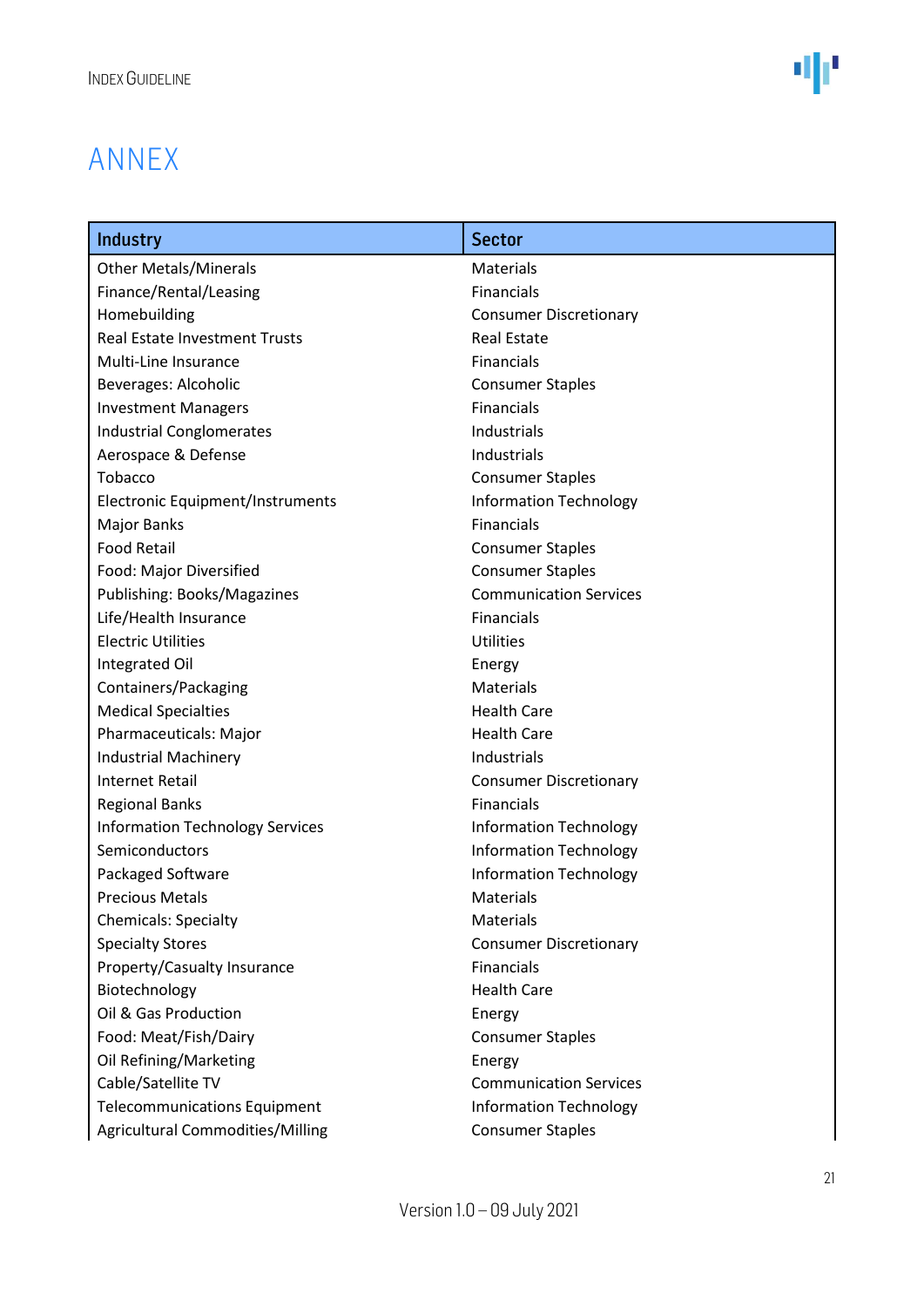### <span id="page-20-0"></span>ANNEX

| <b>Industry</b>                         | <b>Sector</b>                 |
|-----------------------------------------|-------------------------------|
| <b>Other Metals/Minerals</b>            | Materials                     |
| Finance/Rental/Leasing                  | <b>Financials</b>             |
| Homebuilding                            | <b>Consumer Discretionary</b> |
| <b>Real Estate Investment Trusts</b>    | <b>Real Estate</b>            |
| Multi-Line Insurance                    | <b>Financials</b>             |
| Beverages: Alcoholic                    | <b>Consumer Staples</b>       |
| <b>Investment Managers</b>              | <b>Financials</b>             |
| <b>Industrial Conglomerates</b>         | Industrials                   |
| Aerospace & Defense                     | Industrials                   |
| Tobacco                                 | <b>Consumer Staples</b>       |
| Electronic Equipment/Instruments        | <b>Information Technology</b> |
| <b>Major Banks</b>                      | <b>Financials</b>             |
| <b>Food Retail</b>                      | <b>Consumer Staples</b>       |
| Food: Major Diversified                 | <b>Consumer Staples</b>       |
| Publishing: Books/Magazines             | <b>Communication Services</b> |
| Life/Health Insurance                   | <b>Financials</b>             |
| <b>Electric Utilities</b>               | <b>Utilities</b>              |
| Integrated Oil                          | Energy                        |
| Containers/Packaging                    | <b>Materials</b>              |
| <b>Medical Specialties</b>              | <b>Health Care</b>            |
| Pharmaceuticals: Major                  | <b>Health Care</b>            |
| <b>Industrial Machinery</b>             | Industrials                   |
| <b>Internet Retail</b>                  | <b>Consumer Discretionary</b> |
| <b>Regional Banks</b>                   | <b>Financials</b>             |
| <b>Information Technology Services</b>  | <b>Information Technology</b> |
| Semiconductors                          | <b>Information Technology</b> |
| Packaged Software                       | <b>Information Technology</b> |
| <b>Precious Metals</b>                  | Materials                     |
| <b>Chemicals: Specialty</b>             | <b>Materials</b>              |
| <b>Specialty Stores</b>                 | <b>Consumer Discretionary</b> |
| Property/Casualty Insurance             | <b>Financials</b>             |
| Biotechnology                           | <b>Health Care</b>            |
| Oil & Gas Production                    | Energy                        |
| Food: Meat/Fish/Dairy                   | <b>Consumer Staples</b>       |
| Oil Refining/Marketing                  | Energy                        |
| Cable/Satellite TV                      | <b>Communication Services</b> |
| <b>Telecommunications Equipment</b>     | <b>Information Technology</b> |
| <b>Agricultural Commodities/Milling</b> | <b>Consumer Staples</b>       |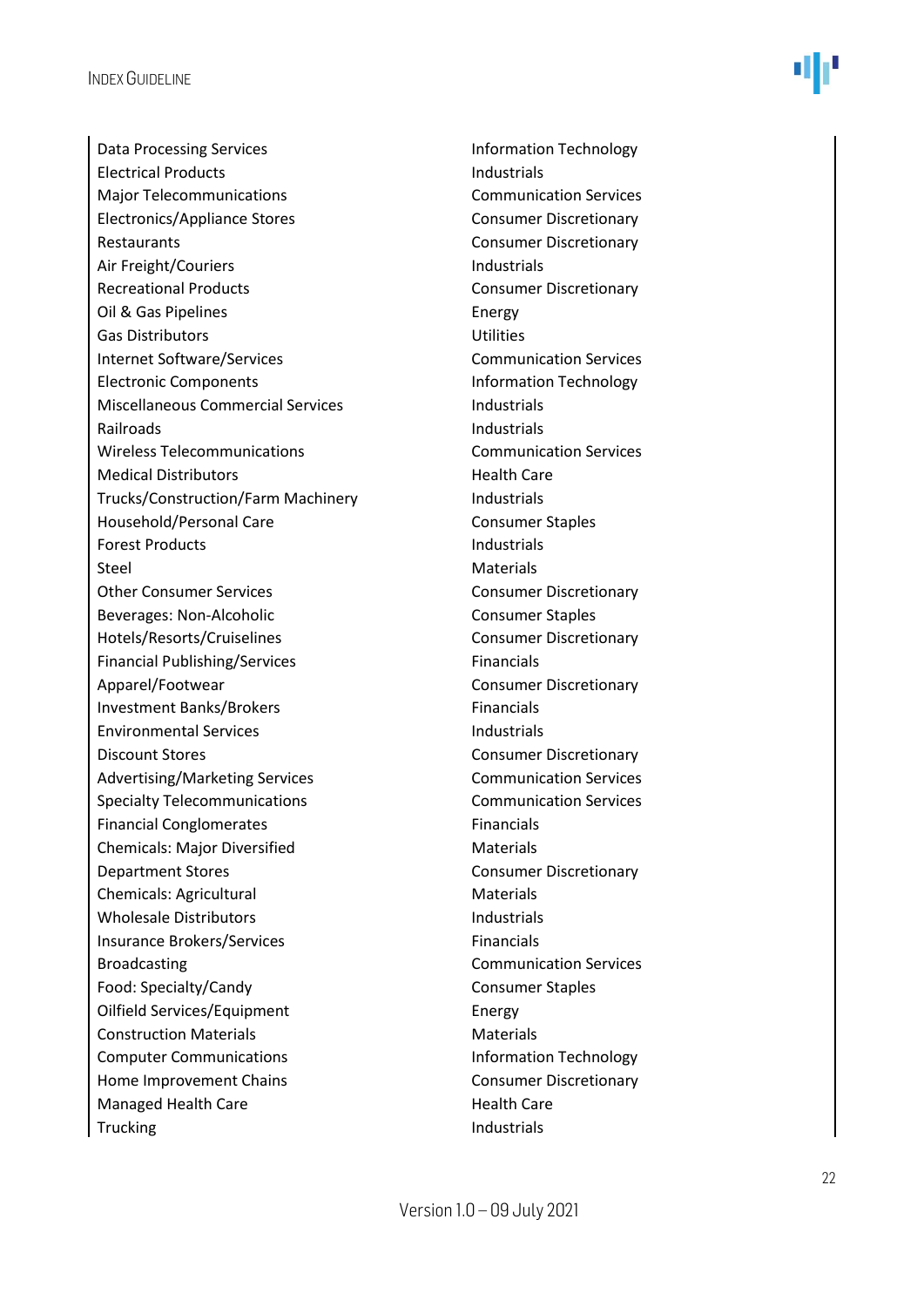Data Processing Services **Information Technology** Electrical Products **Industrials** Major Telecommunications Communication Services Electronics/Appliance Stores Consumer Discretionary Restaurants **Consumer Discretionary** Air Freight/Couriers **Industrials** Recreational Products **Consumer Discretionary** Oil & Gas Pipelines **Energy** Gas Distributors Utilities Internet Software/Services Communication Services Electronic Components **Information Technology** Miscellaneous Commercial Services **Industrials** Railroads **Industrials** Wireless Telecommunications Communication Services Medical Distributors **Medical Distributors** Medical Distributors **Health** Care Trucks/Construction/Farm Machinery **Industrials** Household/Personal Care Consumer Staples Forest Products **Industrials** Steel Materials Other Consumer Services Consumer Discretionary Beverages: Non-Alcoholic Consumer Staples Hotels/Resorts/Cruiselines Consumer Discretionary Financial Publishing/Services Financials Apparel/Footwear Consumer Discretionary Investment Banks/Brokers Financials Environmental Services and a services and a lindustrials Discount Stores Consumer Discretionary Advertising/Marketing Services Communication Services Specialty Telecommunications **Communication Services** Financial Conglomerates Financials Chemicals: Major Diversified Materials **Department Stores Consumer Discretionary** Chemicals: Agricultural Materials Wholesale Distributors **Industrials** Insurance Brokers/Services Financials Broadcasting **Communication Services** Food: Specialty/Candy Consumer Staples Oilfield Services/Equipment Energy Construction Materials **Materials** Materials Computer Communications Information Technology Home Improvement Chains Consumer Discretionary Managed Health Care **Managed Health Care Health Care** Trucking and the industrials of the Industrials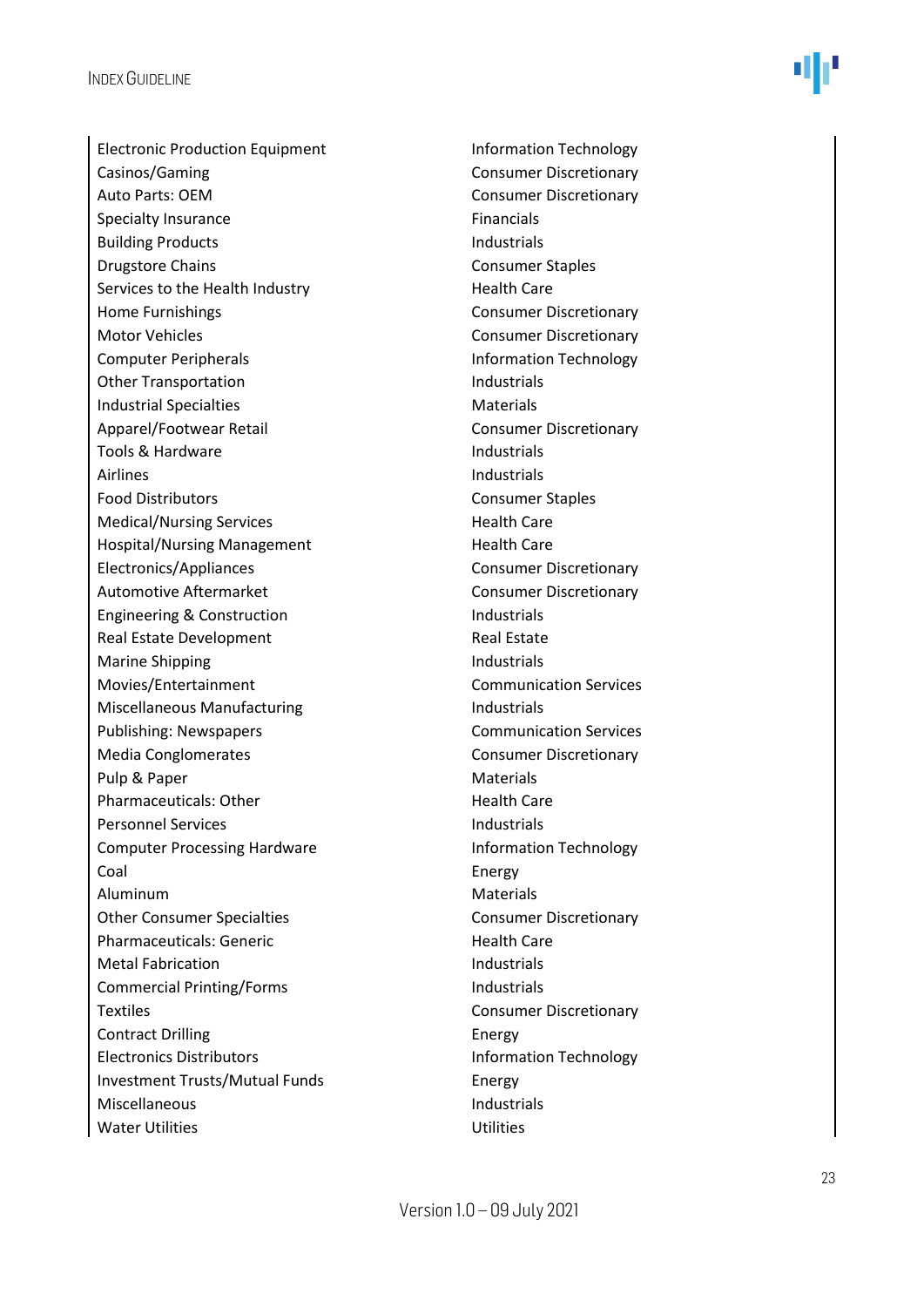Electronic Production Equipment Information Technology Casinos/Gaming Consumer Discretionary Auto Parts: OEM Consumer Discretionary Specialty Insurance Financials Building Products **Industrials Drugstore Chains** Consumer Staples Services to the Health Industry **Exercise 2 Figure 10** Health Care Home Furnishings **Consumer Discretionary** Motor Vehicles **Consumer Discretionary** Consumer Discretionary Computer Peripherals **Information Technology** Other Transportation and Industrials Industrial Specialties **Materials** Materials Apparel/Footwear Retail Consumer Discretionary Tools & Hardware **Industrials** Airlines **Industrials** Food Distributors **Consumer Staples** Medical/Nursing Services **Medical/Nursing Services** Health Care Hospital/Nursing Management Health Care Electronics/Appliances Consumer Discretionary Automotive Aftermarket Consumer Discretionary Engineering & Construction **Industrials** Real Estate Development Real Estate Marine Shipping **Industrials** Movies/Entertainment Communication Services Miscellaneous Manufacturing **Industrials** Publishing: Newspapers Communication Services Media Conglomerates **Consumer Discretionary** Pulp & Paper Materials Pharmaceuticals: Other **Health Care** Personnel Services and a services industrials Computer Processing Hardware **Information Technology** Coal Energy Aluminum Materials Other Consumer Specialties Consumer Discretionary Pharmaceuticals: Generic **East Care** Health Care Metal Fabrication **Industrials** Commercial Printing/Forms Industrials Textiles **Textiles** Consumer Discretionary Contract Drilling **Energy** Electronics Distributors **Information Technology** Investment Trusts/Mutual Funds Energy Miscellaneous and the industrials and the industrials Water Utilities **Water Utilities**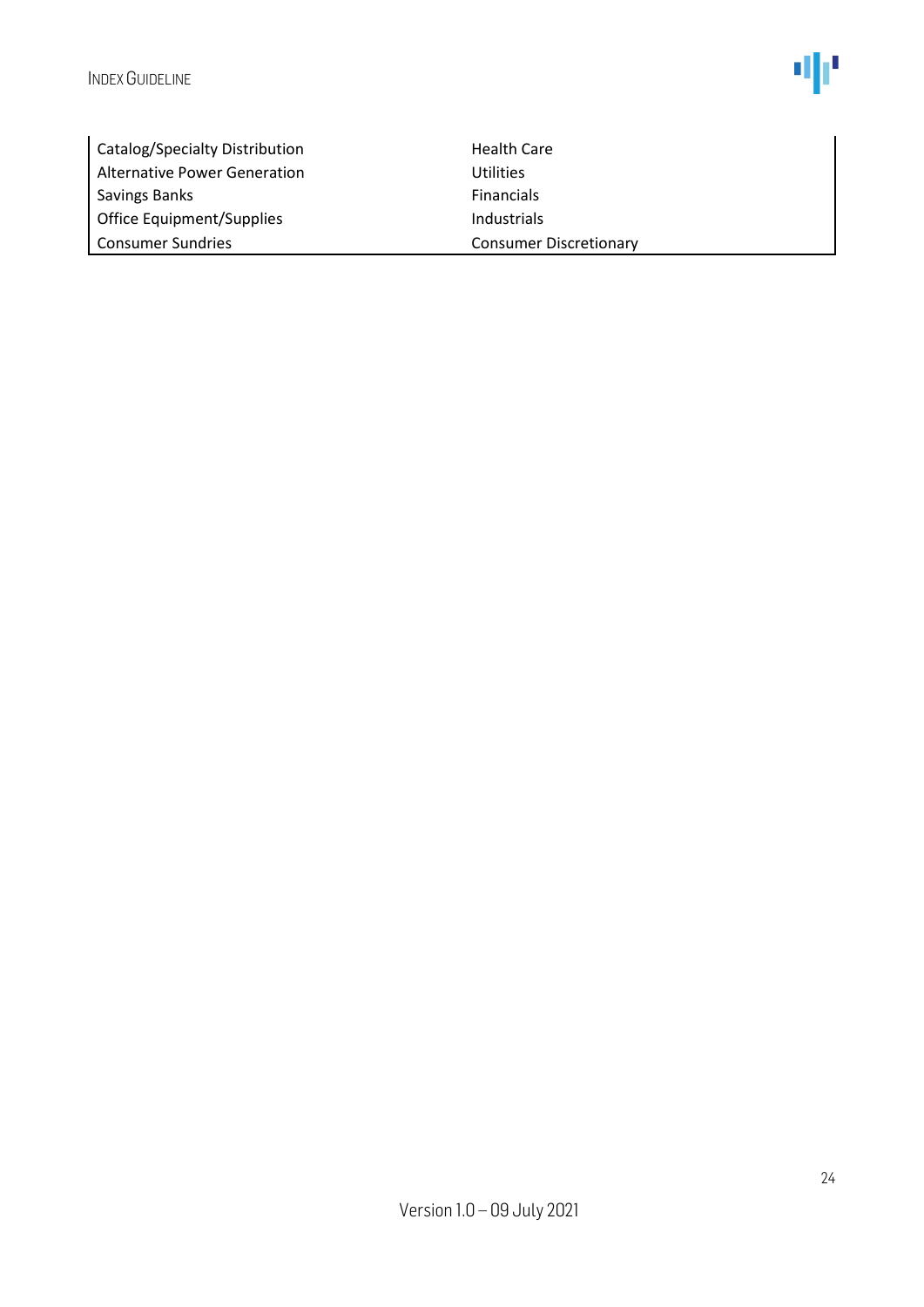

| Catalog/Specialty Distribution | <b>Health Care</b>            |
|--------------------------------|-------------------------------|
| Alternative Power Generation   | <b>Utilities</b>              |
| <b>Savings Banks</b>           | <b>Financials</b>             |
| Office Equipment/Supplies      | Industrials                   |
| <b>Consumer Sundries</b>       | <b>Consumer Discretionary</b> |